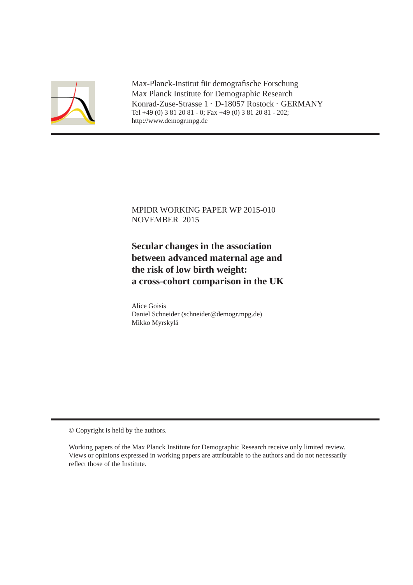

Max-Planck-Institut für demografische Forschung Max Planck Institute for Demographic Research Konrad-Zuse-Strasse 1 · D-18057 Rostock · GERMANY Tel +49 (0) 3 81 20 81 - 0; Fax +49 (0) 3 81 20 81 - 202; http://www.demogr.mpg.de

### MPIDR WORKING PAPER WP 2015-010 NOVEMBER 2015

### **Secular changes in the association between advanced maternal age and the risk of low birth weight: a cross-cohort comparison in the UK**

Alice Goisis Daniel Schneider (schneider@demogr.mpg.de) Mikko Myrskylä

© Copyright is held by the authors.

Working papers of the Max Planck Institute for Demographic Research receive only limited review. Views or opinions expressed in working papers are attributable to the authors and do not necessarily reflect those of the Institute.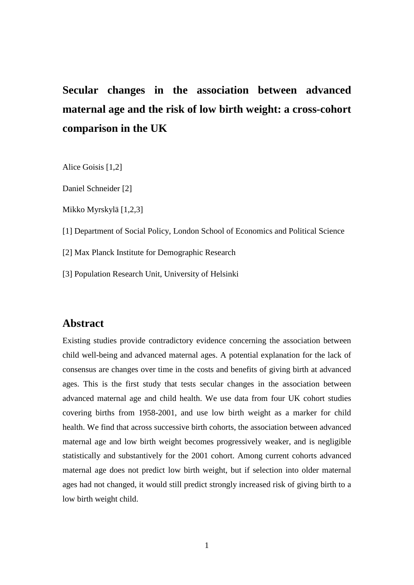# **Secular changes in the association between advanced maternal age and the risk of low birth weight: a cross-cohort comparison in the UK**

Alice Goisis [1,2]

Daniel Schneider [2]

Mikko Myrskylä [1,2,3]

[1] Department of Social Policy, London School of Economics and Political Science

[2] Max Planck Institute for Demographic Research

[3] Population Research Unit, University of Helsinki

### **Abstract**

Existing studies provide contradictory evidence concerning the association between child well-being and advanced maternal ages. A potential explanation for the lack of consensus are changes over time in the costs and benefits of giving birth at advanced ages. This is the first study that tests secular changes in the association between advanced maternal age and child health. We use data from four UK cohort studies covering births from 1958-2001, and use low birth weight as a marker for child health. We find that across successive birth cohorts, the association between advanced maternal age and low birth weight becomes progressively weaker, and is negligible statistically and substantively for the 2001 cohort. Among current cohorts advanced maternal age does not predict low birth weight, but if selection into older maternal ages had not changed, it would still predict strongly increased risk of giving birth to a low birth weight child.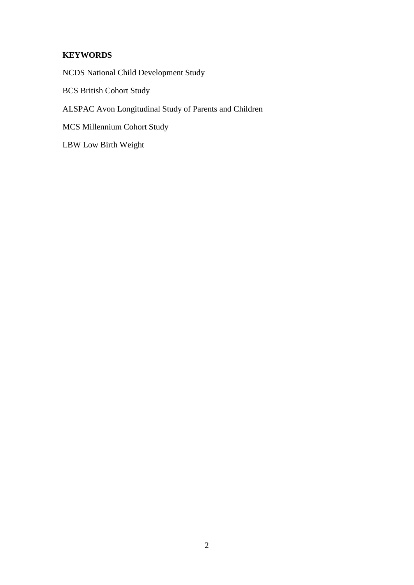### **KEYWORDS**

NCDS National Child Development Study

BCS British Cohort Study

ALSPAC Avon Longitudinal Study of Parents and Children

MCS Millennium Cohort Study

LBW Low Birth Weight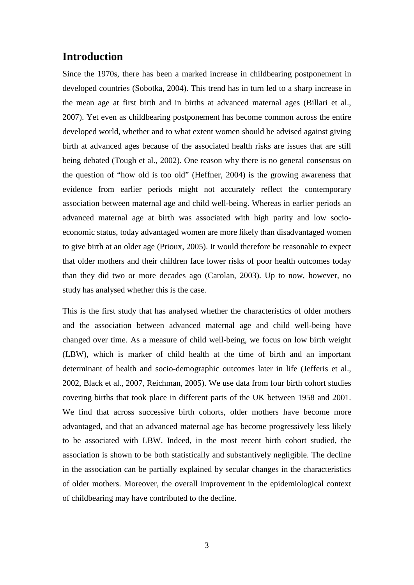### **Introduction**

Since the 1970s, there has been a marked increase in childbearing postponement in developed countries (Sobotka, 2004). This trend has in turn led to a sharp increase in the mean age at first birth and in births at advanced maternal ages (Billari et al., 2007). Yet even as childbearing postponement has become common across the entire developed world, whether and to what extent women should be advised against giving birth at advanced ages because of the associated health risks are issues that are still being debated (Tough et al., 2002). One reason why there is no general consensus on the question of "how old is too old" (Heffner, 2004) is the growing awareness that evidence from earlier periods might not accurately reflect the contemporary association between maternal age and child well-being. Whereas in earlier periods an advanced maternal age at birth was associated with high parity and low socioeconomic status, today advantaged women are more likely than disadvantaged women to give birth at an older age (Prioux, 2005). It would therefore be reasonable to expect that older mothers and their children face lower risks of poor health outcomes today than they did two or more decades ago (Carolan, 2003). Up to now, however, no study has analysed whether this is the case.

This is the first study that has analysed whether the characteristics of older mothers and the association between advanced maternal age and child well-being have changed over time. As a measure of child well-being, we focus on low birth weight (LBW), which is marker of child health at the time of birth and an important determinant of health and socio-demographic outcomes later in life (Jefferis et al., 2002, Black et al., 2007, Reichman, 2005). We use data from four birth cohort studies covering births that took place in different parts of the UK between 1958 and 2001. We find that across successive birth cohorts, older mothers have become more advantaged, and that an advanced maternal age has become progressively less likely to be associated with LBW. Indeed, in the most recent birth cohort studied, the association is shown to be both statistically and substantively negligible. The decline in the association can be partially explained by secular changes in the characteristics of older mothers. Moreover, the overall improvement in the epidemiological context of childbearing may have contributed to the decline.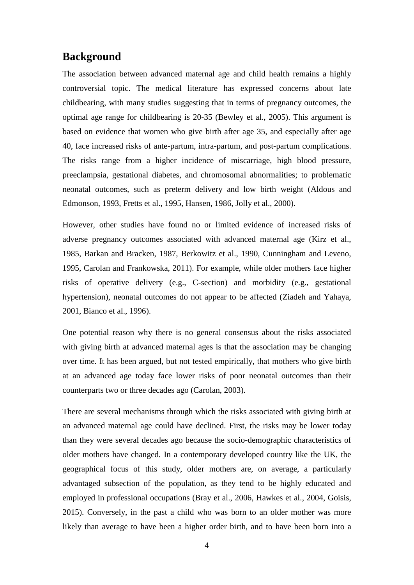### **Background**

The association between advanced maternal age and child health remains a highly controversial topic. The medical literature has expressed concerns about late childbearing, with many studies suggesting that in terms of pregnancy outcomes, the optimal age range for childbearing is 20-35 (Bewley et al., 2005). This argument is based on evidence that women who give birth after age 35, and especially after age 40, face increased risks of ante-partum, intra-partum, and post-partum complications. The risks range from a higher incidence of miscarriage, high blood pressure, preeclampsia, gestational diabetes, and chromosomal abnormalities; to problematic neonatal outcomes, such as preterm delivery and low birth weight (Aldous and Edmonson, 1993, Fretts et al., 1995, Hansen, 1986, Jolly et al., 2000).

However, other studies have found no or limited evidence of increased risks of adverse pregnancy outcomes associated with advanced maternal age (Kirz et al., 1985, Barkan and Bracken, 1987, Berkowitz et al., 1990, Cunningham and Leveno, 1995, Carolan and Frankowska, 2011). For example, while older mothers face higher risks of operative delivery (e.g., C-section) and morbidity (e.g., gestational hypertension), neonatal outcomes do not appear to be affected (Ziadeh and Yahaya, 2001, Bianco et al., 1996).

One potential reason why there is no general consensus about the risks associated with giving birth at advanced maternal ages is that the association may be changing over time. It has been argued, but not tested empirically, that mothers who give birth at an advanced age today face lower risks of poor neonatal outcomes than their counterparts two or three decades ago (Carolan, 2003).

There are several mechanisms through which the risks associated with giving birth at an advanced maternal age could have declined. First, the risks may be lower today than they were several decades ago because the socio-demographic characteristics of older mothers have changed. In a contemporary developed country like the UK, the geographical focus of this study, older mothers are, on average, a particularly advantaged subsection of the population, as they tend to be highly educated and employed in professional occupations (Bray et al., 2006, Hawkes et al., 2004, Goisis, 2015). Conversely, in the past a child who was born to an older mother was more likely than average to have been a higher order birth, and to have been born into a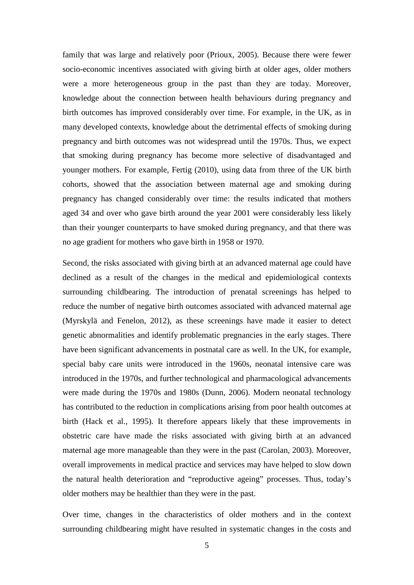family that was large and relatively poor (Prioux, 2005). Because there were fewer socio-economic incentives associated with giving birth at older ages, older mothers were a more heterogeneous group in the past than they are today. Moreover, knowledge about the connection between health behaviours during pregnancy and birth outcomes has improved considerably over time. For example, in the UK, as in many developed contexts, knowledge about the detrimental effects of smoking during pregnancy and birth outcomes was not widespread until the 1970s. Thus, we expect that smoking during pregnancy has become more selective of disadvantaged and younger mothers. For example, Fertig (2010), using data from three of the UK birth cohorts, showed that the association between maternal age and smoking during pregnancy has changed considerably over time: the results indicated that mothers aged 34 and over who gave birth around the year 2001 were considerably less likely than their younger counterparts to have smoked during pregnancy, and that there was no age gradient for mothers who gave birth in 1958 or 1970.

Second, the risks associated with giving birth at an advanced maternal age could have declined as a result of the changes in the medical and epidemiological contexts surrounding childbearing. The introduction of prenatal screenings has helped to reduce the number of negative birth outcomes associated with advanced maternal age (Myrskylä and Fenelon, 2012), as these screenings have made it easier to detect genetic abnormalities and identify problematic pregnancies in the early stages. There have been significant advancements in postnatal care as well. In the UK, for example, special baby care units were introduced in the 1960s, neonatal intensive care was introduced in the 1970s, and further technological and pharmacological advancements were made during the 1970s and 1980s (Dunn, 2006). Modern neonatal technology has contributed to the reduction in complications arising from poor health outcomes at birth (Hack et al., 1995). It therefore appears likely that these improvements in obstetric care have made the risks associated with giving birth at an advanced maternal age more manageable than they were in the past (Carolan, 2003). Moreover, overall improvements in medical practice and services may have helped to slow down the natural health deterioration and "reproductive ageing" processes. Thus, today's older mothers may be healthier than they were in the past.

Over time, changes in the characteristics of older mothers and in the context surrounding childbearing might have resulted in systematic changes in the costs and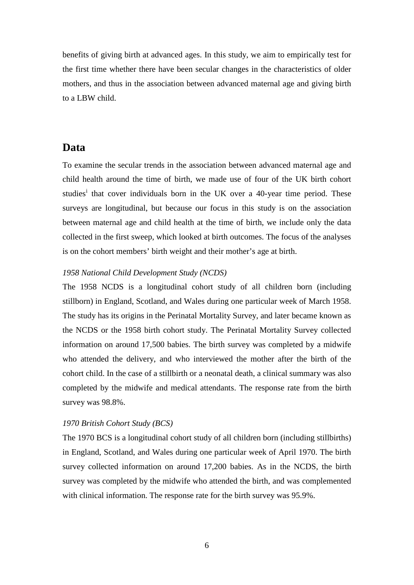benefits of giving birth at advanced ages. In this study, we aim to empirically test for the first time whether there have been secular changes in the characteristics of older mothers, and thus in the association between advanced maternal age and giving birth to a LBW child.

### **Data**

To examine the secular trends in the association between advanced maternal age and child health around the time of birth, we made use of four of the UK birth cohort stud[i](#page-45-0)es<sup>1</sup> that cover individuals born in the UK over a 40-year time period. These surveys are longitudinal, but because our focus in this study is on the association between maternal age and child health at the time of birth, we include only the data collected in the first sweep, which looked at birth outcomes. The focus of the analyses is on the cohort members' birth weight and their mother's age at birth.

#### *1958 National Child Development Study (NCDS)*

The 1958 NCDS is a longitudinal cohort study of all children born (including stillborn) in England, Scotland, and Wales during one particular week of March 1958. The study has its origins in the Perinatal Mortality Survey, and later became known as the NCDS or the 1958 birth cohort study. The Perinatal Mortality Survey collected information on around 17,500 babies. The birth survey was completed by a midwife who attended the delivery, and who interviewed the mother after the birth of the cohort child. In the case of a stillbirth or a neonatal death, a clinical summary was also completed by the midwife and medical attendants. The response rate from the birth survey was 98.8%.

#### *1970 British Cohort Study (BCS)*

The 1970 BCS is a longitudinal cohort study of all children born (including stillbirths) in England, Scotland, and Wales during one particular week of April 1970. The birth survey collected information on around 17,200 babies. As in the NCDS, the birth survey was completed by the midwife who attended the birth, and was complemented with clinical information. The response rate for the birth survey was 95.9%.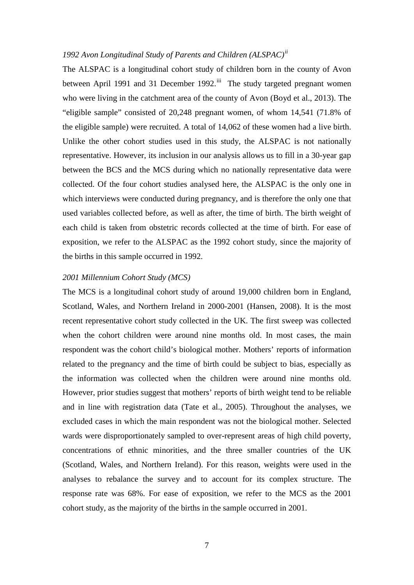### *1992 Avon Longitudinal Study of Parents and Children (ALSPAC)[ii](#page-45-1)*

The ALSPAC is a longitudinal cohort study of children born in the county of Avon between April 1991 and 31 December 1992.<sup>iii</sup> The study targeted pregnant women who were living in the catchment area of the county of Avon (Boyd et al., 2013). The "eligible sample" consisted of 20,248 pregnant women, of whom 14,541 (71.8% of the eligible sample) were recruited. A total of 14,062 of these women had a live birth. Unlike the other cohort studies used in this study, the ALSPAC is not nationally representative. However, its inclusion in our analysis allows us to fill in a 30-year gap between the BCS and the MCS during which no nationally representative data were collected. Of the four cohort studies analysed here, the ALSPAC is the only one in which interviews were conducted during pregnancy, and is therefore the only one that used variables collected before, as well as after, the time of birth. The birth weight of each child is taken from obstetric records collected at the time of birth. For ease of exposition, we refer to the ALSPAC as the 1992 cohort study, since the majority of the births in this sample occurred in 1992.

#### *2001 Millennium Cohort Study (MCS)*

The MCS is a longitudinal cohort study of around 19,000 children born in England, Scotland, Wales, and Northern Ireland in 2000-2001 (Hansen, 2008). It is the most recent representative cohort study collected in the UK. The first sweep was collected when the cohort children were around nine months old. In most cases, the main respondent was the cohort child's biological mother. Mothers' reports of information related to the pregnancy and the time of birth could be subject to bias, especially as the information was collected when the children were around nine months old. However, prior studies suggest that mothers' reports of birth weight tend to be reliable and in line with registration data (Tate et al., 2005). Throughout the analyses, we excluded cases in which the main respondent was not the biological mother. Selected wards were disproportionately sampled to over-represent areas of high child poverty, concentrations of ethnic minorities, and the three smaller countries of the UK (Scotland, Wales, and Northern Ireland). For this reason, weights were used in the analyses to rebalance the survey and to account for its complex structure. The response rate was 68%. For ease of exposition, we refer to the MCS as the 2001 cohort study, as the majority of the births in the sample occurred in 2001.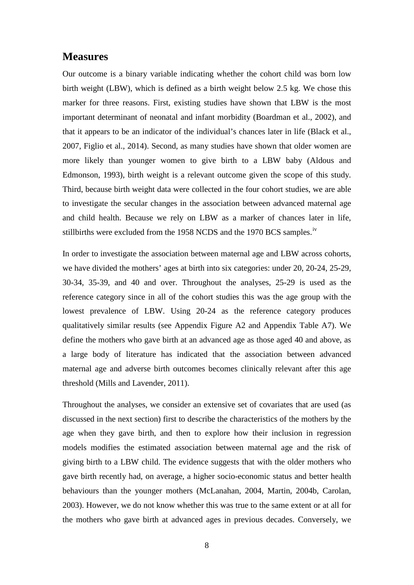### **Measures**

Our outcome is a binary variable indicating whether the cohort child was born low birth weight (LBW), which is defined as a birth weight below 2.5 kg. We chose this marker for three reasons. First, existing studies have shown that LBW is the most important determinant of neonatal and infant morbidity (Boardman et al., 2002), and that it appears to be an indicator of the individual's chances later in life (Black et al., 2007, Figlio et al., 2014). Second, as many studies have shown that older women are more likely than younger women to give birth to a LBW baby (Aldous and Edmonson, 1993), birth weight is a relevant outcome given the scope of this study. Third, because birth weight data were collected in the four cohort studies, we are able to investigate the secular changes in the association between advanced maternal age and child health. Because we rely on LBW as a marker of chances later in life, stillbirths were excluded from the 1958 NCDS and the 1970 BCS samples.<sup>[iv](#page-45-3)</sup>

In order to investigate the association between maternal age and LBW across cohorts, we have divided the mothers' ages at birth into six categories: under 20, 20-24, 25-29, 30-34, 35-39, and 40 and over. Throughout the analyses, 25-29 is used as the reference category since in all of the cohort studies this was the age group with the lowest prevalence of LBW. Using 20-24 as the reference category produces qualitatively similar results (see Appendix [Figure A2](#page-31-0) and Appendix [Table A7\)](#page-44-0). We define the mothers who gave birth at an advanced age as those aged 40 and above, as a large body of literature has indicated that the association between advanced maternal age and adverse birth outcomes becomes clinically relevant after this age threshold (Mills and Lavender, 2011).

Throughout the analyses, we consider an extensive set of covariates that are used (as discussed in the next section) first to describe the characteristics of the mothers by the age when they gave birth, and then to explore how their inclusion in regression models modifies the estimated association between maternal age and the risk of giving birth to a LBW child. The evidence suggests that with the older mothers who gave birth recently had, on average, a higher socio-economic status and better health behaviours than the younger mothers (McLanahan, 2004, Martin, 2004b, Carolan, 2003). However, we do not know whether this was true to the same extent or at all for the mothers who gave birth at advanced ages in previous decades. Conversely, we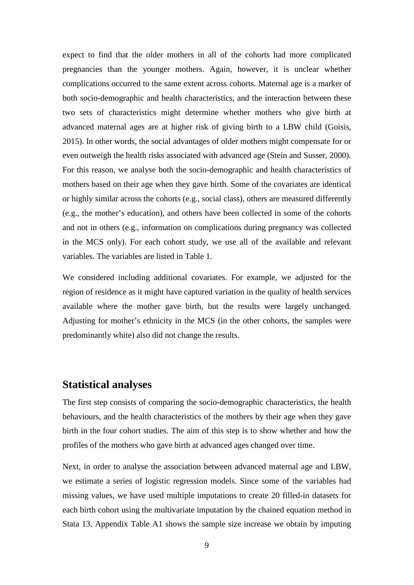expect to find that the older mothers in all of the cohorts had more complicated pregnancies than the younger mothers. Again, however, it is unclear whether complications occurred to the same extent across cohorts. Maternal age is a marker of both socio-demographic and health characteristics, and the interaction between these two sets of characteristics might determine whether mothers who give birth at advanced maternal ages are at higher risk of giving birth to a LBW child (Goisis, 2015). In other words, the social advantages of older mothers might compensate for or even outweigh the health risks associated with advanced age (Stein and Susser, 2000). For this reason, we analyse both the socio-demographic and health characteristics of mothers based on their age when they gave birth. Some of the covariates are identical or highly similar across the cohorts (e.g., social class), others are measured differently (e.g., the mother's education), and others have been collected in some of the cohorts and not in others (e.g., information on complications during pregnancy was collected in the MCS only). For each cohort study, we use all of the available and relevant variables. The variables are listed in [Table 1.](#page-28-0)

We considered including additional covariates. For example, we adjusted for the region of residence as it might have captured variation in the quality of health services available where the mother gave birth, but the results were largely unchanged. Adjusting for mother's ethnicity in the MCS (in the other cohorts, the samples were predominantly white) also did not change the results.

### <span id="page-9-0"></span>**Statistical analyses**

The first step consists of comparing the socio-demographic characteristics, the health behaviours, and the health characteristics of the mothers by their age when they gave birth in the four cohort studies. The aim of this step is to show whether and how the profiles of the mothers who gave birth at advanced ages changed over time.

Next, in order to analyse the association between advanced maternal age and LBW, we estimate a series of logistic regression models. Since some of the variables had missing values, we have used multiple imputations to create 20 filled-in datasets for each birth cohort using the multivariate imputation by the chained equation method in Stata 13. Appendix [Table A1](#page-32-0) shows the sample size increase we obtain by imputing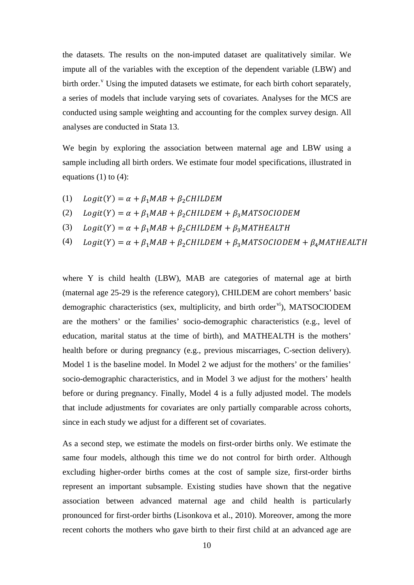the datasets. The results on the non-imputed dataset are qualitatively similar. We impute all of the variables with the exception of the dependent variable (LBW) and birth order.<sup>V</sup> Using the imputed datasets we estimate, for each birth cohort separately, a series of models that include varying sets of covariates. Analyses for the MCS are conducted using sample weighting and accounting for the complex survey design. All analyses are conducted in Stata 13.

We begin by exploring the association between maternal age and LBW using a sample including all birth orders. We estimate four model specifications, illustrated in equations  $(1)$  to  $(4)$ :

- (1)  $Logit(Y) = \alpha + \beta_1 MAB + \beta_2 CHILDEM$
- $Logit(Y) = \alpha + \beta_1 MAB + \beta_2 CHILDEM + \beta_3 MATSOCIODEM$ (2)
- $Logit(Y) = \alpha + \beta_1 MAB + \beta_2 CHILDEM + \beta_3 MATHEALTH$ (3)
- $Logit(Y) = \alpha + \beta_1 MAB + \beta_2 CHILDEM + \beta_3 MATSOCIODEM + \beta_4 MATHEALTH$ (4)

where Y is child health (LBW), MAB are categories of maternal age at birth (maternal age 25-29 is the reference category), CHILDEM are cohort members' basic demographic characteristics (sex, multiplicity, and birth order<sup>[vi](#page-45-5)</sup>), MATSOCIODEM are the mothers' or the families' socio-demographic characteristics (e.g., level of education, marital status at the time of birth), and MATHEALTH is the mothers' health before or during pregnancy (e.g., previous miscarriages, C-section delivery). Model 1 is the baseline model. In Model 2 we adjust for the mothers' or the families' socio-demographic characteristics, and in Model 3 we adjust for the mothers' health before or during pregnancy. Finally, Model 4 is a fully adjusted model. The models that include adjustments for covariates are only partially comparable across cohorts, since in each study we adjust for a different set of covariates.

As a second step, we estimate the models on first-order births only. We estimate the same four models, although this time we do not control for birth order. Although excluding higher-order births comes at the cost of sample size, first-order births represent an important subsample. Existing studies have shown that the negative association between advanced maternal age and child health is particularly pronounced for first-order births (Lisonkova et al., 2010). Moreover, among the more recent cohorts the mothers who gave birth to their first child at an advanced age are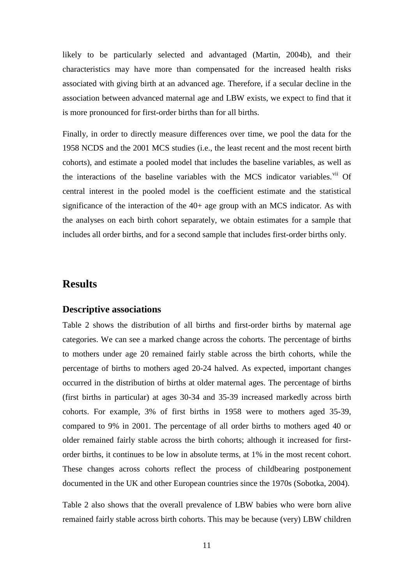likely to be particularly selected and advantaged (Martin, 2004b), and their characteristics may have more than compensated for the increased health risks associated with giving birth at an advanced age. Therefore, if a secular decline in the association between advanced maternal age and LBW exists, we expect to find that it is more pronounced for first-order births than for all births.

Finally, in order to directly measure differences over time, we pool the data for the 1958 NCDS and the 2001 MCS studies (i.e., the least recent and the most recent birth cohorts), and estimate a pooled model that includes the baseline variables, as well as the interactions of the baseline variables with the MCS indicator variables.<sup>[vii](#page-45-6)</sup> Of central interest in the pooled model is the coefficient estimate and the statistical significance of the interaction of the 40+ age group with an MCS indicator. As with the analyses on each birth cohort separately, we obtain estimates for a sample that includes all order births, and for a second sample that includes first-order births only.

### **Results**

#### **Descriptive associations**

[Table 2](#page-29-0) shows the distribution of all births and first-order births by maternal age categories. We can see a marked change across the cohorts. The percentage of births to mothers under age 20 remained fairly stable across the birth cohorts, while the percentage of births to mothers aged 20-24 halved. As expected, important changes occurred in the distribution of births at older maternal ages. The percentage of births (first births in particular) at ages 30-34 and 35-39 increased markedly across birth cohorts. For example, 3% of first births in 1958 were to mothers aged 35-39, compared to 9% in 2001. The percentage of all order births to mothers aged 40 or older remained fairly stable across the birth cohorts; although it increased for firstorder births, it continues to be low in absolute terms, at 1% in the most recent cohort. These changes across cohorts reflect the process of childbearing postponement documented in the UK and other European countries since the 1970s (Sobotka, 2004).

[Table 2](#page-29-0) also shows that the overall prevalence of LBW babies who were born alive remained fairly stable across birth cohorts. This may be because (very) LBW children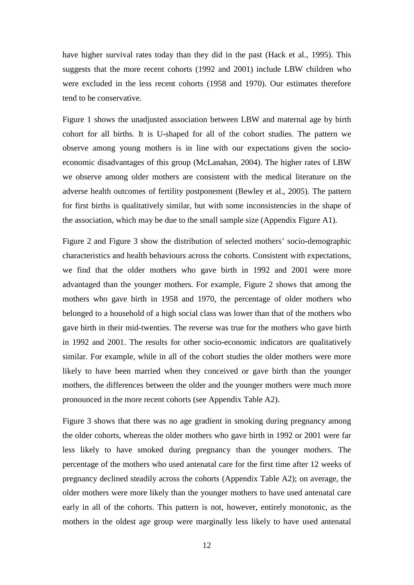have higher survival rates today than they did in the past (Hack et al., 1995). This suggests that the more recent cohorts (1992 and 2001) include LBW children who were excluded in the less recent cohorts (1958 and 1970). Our estimates therefore tend to be conservative.

[Figure 1](#page-25-0) shows the unadjusted association between LBW and maternal age by birth cohort for all births. It is U-shaped for all of the cohort studies. The pattern we observe among young mothers is in line with our expectations given the socioeconomic disadvantages of this group (McLanahan, 2004). The higher rates of LBW we observe among older mothers are consistent with the medical literature on the adverse health outcomes of fertility postponement (Bewley et al., 2005). The pattern for first births is qualitatively similar, but with some inconsistencies in the shape of the association, which may be due to the small sample size (Appendix [Figure A1\)](#page-31-1).

[Figure 2](#page-26-0) and [Figure 3](#page-26-1) show the distribution of selected mothers' socio-demographic characteristics and health behaviours across the cohorts. Consistent with expectations, we find that the older mothers who gave birth in 1992 and 2001 were more advantaged than the younger mothers. For example, [Figure 2](#page-26-0) shows that among the mothers who gave birth in 1958 and 1970, the percentage of older mothers who belonged to a household of a high social class was lower than that of the mothers who gave birth in their mid-twenties. The reverse was true for the mothers who gave birth in 1992 and 2001. The results for other socio-economic indicators are qualitatively similar. For example, while in all of the cohort studies the older mothers were more likely to have been married when they conceived or gave birth than the younger mothers, the differences between the older and the younger mothers were much more pronounced in the more recent cohorts (see Appendix [Table A2\)](#page-33-0).

[Figure 3](#page-26-1) shows that there was no age gradient in smoking during pregnancy among the older cohorts, whereas the older mothers who gave birth in 1992 or 2001 were far less likely to have smoked during pregnancy than the younger mothers. The percentage of the mothers who used antenatal care for the first time after 12 weeks of pregnancy declined steadily across the cohorts (Appendix [Table A2\)](#page-33-0); on average, the older mothers were more likely than the younger mothers to have used antenatal care early in all of the cohorts. This pattern is not, however, entirely monotonic, as the mothers in the oldest age group were marginally less likely to have used antenatal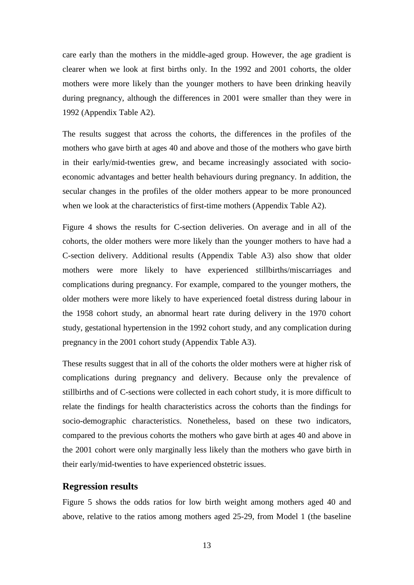care early than the mothers in the middle-aged group. However, the age gradient is clearer when we look at first births only. In the 1992 and 2001 cohorts, the older mothers were more likely than the younger mothers to have been drinking heavily during pregnancy, although the differences in 2001 were smaller than they were in 1992 (Appendix [Table A2\)](#page-33-0).

The results suggest that across the cohorts, the differences in the profiles of the mothers who gave birth at ages 40 and above and those of the mothers who gave birth in their early/mid-twenties grew, and became increasingly associated with socioeconomic advantages and better health behaviours during pregnancy. In addition, the secular changes in the profiles of the older mothers appear to be more pronounced when we look at the characteristics of first-time mothers (Appendix [Table A2\)](#page-33-0).

[Figure 4](#page-27-0) shows the results for C-section deliveries. On average and in all of the cohorts, the older mothers were more likely than the younger mothers to have had a C-section delivery. Additional results (Appendix [Table A3\)](#page-36-0) also show that older mothers were more likely to have experienced stillbirths/miscarriages and complications during pregnancy. For example, compared to the younger mothers, the older mothers were more likely to have experienced foetal distress during labour in the 1958 cohort study, an abnormal heart rate during delivery in the 1970 cohort study, gestational hypertension in the 1992 cohort study, and any complication during pregnancy in the 2001 cohort study (Appendix [Table A3\)](#page-36-0).

These results suggest that in all of the cohorts the older mothers were at higher risk of complications during pregnancy and delivery. Because only the prevalence of stillbirths and of C-sections were collected in each cohort study, it is more difficult to relate the findings for health characteristics across the cohorts than the findings for socio-demographic characteristics. Nonetheless, based on these two indicators, compared to the previous cohorts the mothers who gave birth at ages 40 and above in the 2001 cohort were only marginally less likely than the mothers who gave birth in their early/mid-twenties to have experienced obstetric issues.

#### **Regression results**

[Figure 5](#page-27-1) shows the odds ratios for low birth weight among mothers aged 40 and above, relative to the ratios among mothers aged 25-29, from Model 1 (the baseline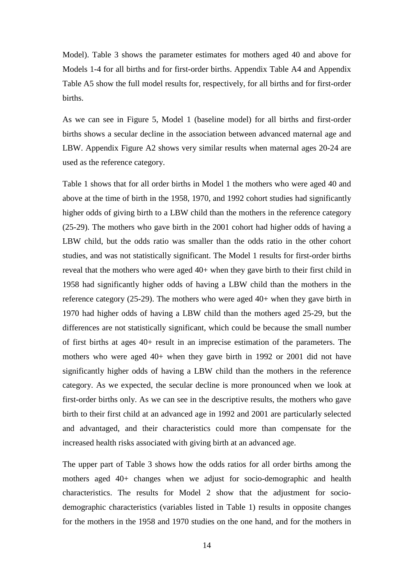Model). [Table 3](#page-30-0) shows the parameter estimates for mothers aged 40 and above for Models 1-4 for all births and for first-order births. Appendix [Table A4](#page-39-0) and Appendix [Table A5](#page-41-0) show the full model results for, respectively, for all births and for first-order births.

As we can see in [Figure 5,](#page-27-1) Model 1 (baseline model) for all births and first-order births shows a secular decline in the association between advanced maternal age and LBW. Appendix [Figure A2](#page-31-0) shows very similar results when maternal ages 20-24 are used as the reference category.

[Table 1](#page-28-0) shows that for all order births in Model 1 the mothers who were aged 40 and above at the time of birth in the 1958, 1970, and 1992 cohort studies had significantly higher odds of giving birth to a LBW child than the mothers in the reference category (25-29). The mothers who gave birth in the 2001 cohort had higher odds of having a LBW child, but the odds ratio was smaller than the odds ratio in the other cohort studies, and was not statistically significant. The Model 1 results for first-order births reveal that the mothers who were aged 40+ when they gave birth to their first child in 1958 had significantly higher odds of having a LBW child than the mothers in the reference category (25-29). The mothers who were aged 40+ when they gave birth in 1970 had higher odds of having a LBW child than the mothers aged 25-29, but the differences are not statistically significant, which could be because the small number of first births at ages 40+ result in an imprecise estimation of the parameters. The mothers who were aged 40+ when they gave birth in 1992 or 2001 did not have significantly higher odds of having a LBW child than the mothers in the reference category. As we expected, the secular decline is more pronounced when we look at first-order births only. As we can see in the descriptive results, the mothers who gave birth to their first child at an advanced age in 1992 and 2001 are particularly selected and advantaged, and their characteristics could more than compensate for the increased health risks associated with giving birth at an advanced age.

The upper part of [Table 3](#page-30-0) shows how the odds ratios for all order births among the mothers aged 40+ changes when we adjust for socio-demographic and health characteristics. The results for Model 2 show that the adjustment for sociodemographic characteristics (variables listed in [Table 1\)](#page-28-0) results in opposite changes for the mothers in the 1958 and 1970 studies on the one hand, and for the mothers in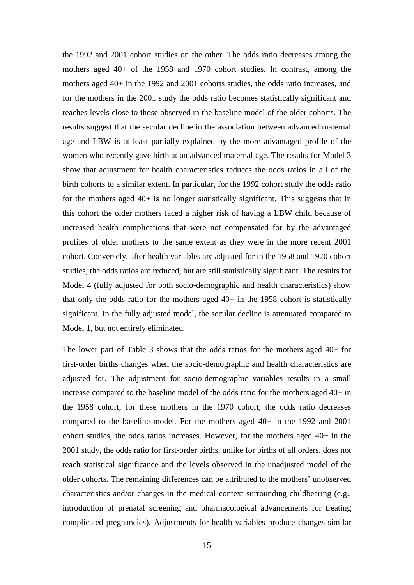the 1992 and 2001 cohort studies on the other. The odds ratio decreases among the mothers aged 40+ of the 1958 and 1970 cohort studies. In contrast, among the mothers aged 40+ in the 1992 and 2001 cohorts studies, the odds ratio increases, and for the mothers in the 2001 study the odds ratio becomes statistically significant and reaches levels close to those observed in the baseline model of the older cohorts. The results suggest that the secular decline in the association between advanced maternal age and LBW is at least partially explained by the more advantaged profile of the women who recently gave birth at an advanced maternal age. The results for Model 3 show that adjustment for health characteristics reduces the odds ratios in all of the birth cohorts to a similar extent. In particular, for the 1992 cohort study the odds ratio for the mothers aged 40+ is no longer statistically significant. This suggests that in this cohort the older mothers faced a higher risk of having a LBW child because of increased health complications that were not compensated for by the advantaged profiles of older mothers to the same extent as they were in the more recent 2001 cohort. Conversely, after health variables are adjusted for in the 1958 and 1970 cohort studies, the odds ratios are reduced, but are still statistically significant. The results for Model 4 (fully adjusted for both socio-demographic and health characteristics) show that only the odds ratio for the mothers aged  $40+$  in the 1958 cohort is statistically significant. In the fully adjusted model, the secular decline is attenuated compared to Model 1, but not entirely eliminated.

The lower part of [Table 3](#page-30-0) shows that the odds ratios for the mothers aged 40+ for first-order births changes when the socio-demographic and health characteristics are adjusted for. The adjustment for socio-demographic variables results in a small increase compared to the baseline model of the odds ratio for the mothers aged 40+ in the 1958 cohort; for these mothers in the 1970 cohort, the odds ratio decreases compared to the baseline model. For the mothers aged 40+ in the 1992 and 2001 cohort studies, the odds ratios increases. However, for the mothers aged 40+ in the 2001 study, the odds ratio for first-order births, unlike for births of all orders, does not reach statistical significance and the levels observed in the unadjusted model of the older cohorts. The remaining differences can be attributed to the mothers' unobserved characteristics and/or changes in the medical context surrounding childbearing (e.g., introduction of prenatal screening and pharmacological advancements for treating complicated pregnancies). Adjustments for health variables produce changes similar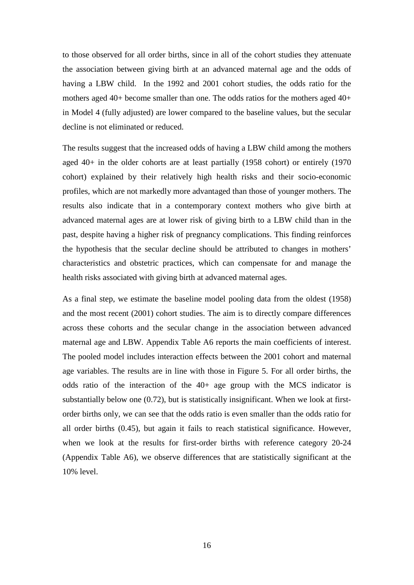to those observed for all order births, since in all of the cohort studies they attenuate the association between giving birth at an advanced maternal age and the odds of having a LBW child. In the 1992 and 2001 cohort studies, the odds ratio for the mothers aged 40+ become smaller than one. The odds ratios for the mothers aged 40+ in Model 4 (fully adjusted) are lower compared to the baseline values, but the secular decline is not eliminated or reduced.

The results suggest that the increased odds of having a LBW child among the mothers aged 40+ in the older cohorts are at least partially (1958 cohort) or entirely (1970 cohort) explained by their relatively high health risks and their socio-economic profiles, which are not markedly more advantaged than those of younger mothers. The results also indicate that in a contemporary context mothers who give birth at advanced maternal ages are at lower risk of giving birth to a LBW child than in the past, despite having a higher risk of pregnancy complications. This finding reinforces the hypothesis that the secular decline should be attributed to changes in mothers' characteristics and obstetric practices, which can compensate for and manage the health risks associated with giving birth at advanced maternal ages.

As a final step, we estimate the baseline model pooling data from the oldest (1958) and the most recent (2001) cohort studies. The aim is to directly compare differences across these cohorts and the secular change in the association between advanced maternal age and LBW. Appendix [Table A6](#page-43-0) reports the main coefficients of interest. The pooled model includes interaction effects between the 2001 cohort and maternal age variables. The results are in line with those in [Figure 5.](#page-27-1) For all order births, the odds ratio of the interaction of the 40+ age group with the MCS indicator is substantially below one (0.72), but is statistically insignificant. When we look at firstorder births only, we can see that the odds ratio is even smaller than the odds ratio for all order births (0.45), but again it fails to reach statistical significance. However, when we look at the results for first-order births with reference category 20-24 (Appendix [Table A6\)](#page-43-0), we observe differences that are statistically significant at the 10% level.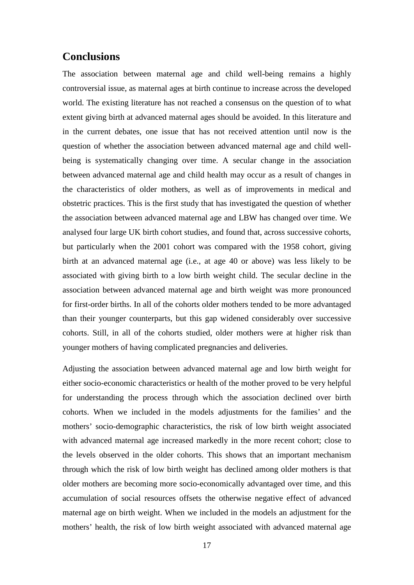### **Conclusions**

The association between maternal age and child well-being remains a highly controversial issue, as maternal ages at birth continue to increase across the developed world. The existing literature has not reached a consensus on the question of to what extent giving birth at advanced maternal ages should be avoided. In this literature and in the current debates, one issue that has not received attention until now is the question of whether the association between advanced maternal age and child wellbeing is systematically changing over time. A secular change in the association between advanced maternal age and child health may occur as a result of changes in the characteristics of older mothers, as well as of improvements in medical and obstetric practices. This is the first study that has investigated the question of whether the association between advanced maternal age and LBW has changed over time. We analysed four large UK birth cohort studies, and found that, across successive cohorts, but particularly when the 2001 cohort was compared with the 1958 cohort, giving birth at an advanced maternal age (i.e., at age 40 or above) was less likely to be associated with giving birth to a low birth weight child. The secular decline in the association between advanced maternal age and birth weight was more pronounced for first-order births. In all of the cohorts older mothers tended to be more advantaged than their younger counterparts, but this gap widened considerably over successive cohorts. Still, in all of the cohorts studied, older mothers were at higher risk than younger mothers of having complicated pregnancies and deliveries.

Adjusting the association between advanced maternal age and low birth weight for either socio-economic characteristics or health of the mother proved to be very helpful for understanding the process through which the association declined over birth cohorts. When we included in the models adjustments for the families' and the mothers' socio-demographic characteristics, the risk of low birth weight associated with advanced maternal age increased markedly in the more recent cohort; close to the levels observed in the older cohorts. This shows that an important mechanism through which the risk of low birth weight has declined among older mothers is that older mothers are becoming more socio-economically advantaged over time, and this accumulation of social resources offsets the otherwise negative effect of advanced maternal age on birth weight. When we included in the models an adjustment for the mothers' health, the risk of low birth weight associated with advanced maternal age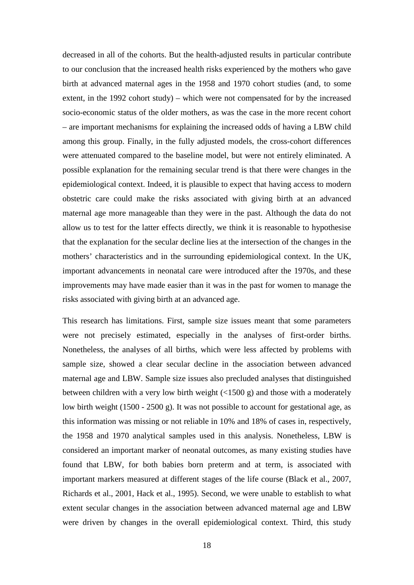decreased in all of the cohorts. But the health-adjusted results in particular contribute to our conclusion that the increased health risks experienced by the mothers who gave birth at advanced maternal ages in the 1958 and 1970 cohort studies (and, to some extent, in the 1992 cohort study) – which were not compensated for by the increased socio-economic status of the older mothers, as was the case in the more recent cohort – are important mechanisms for explaining the increased odds of having a LBW child among this group. Finally, in the fully adjusted models, the cross-cohort differences were attenuated compared to the baseline model, but were not entirely eliminated. A possible explanation for the remaining secular trend is that there were changes in the epidemiological context. Indeed, it is plausible to expect that having access to modern obstetric care could make the risks associated with giving birth at an advanced maternal age more manageable than they were in the past. Although the data do not allow us to test for the latter effects directly, we think it is reasonable to hypothesise that the explanation for the secular decline lies at the intersection of the changes in the mothers' characteristics and in the surrounding epidemiological context. In the UK, important advancements in neonatal care were introduced after the 1970s, and these improvements may have made easier than it was in the past for women to manage the risks associated with giving birth at an advanced age.

This research has limitations. First, sample size issues meant that some parameters were not precisely estimated, especially in the analyses of first-order births. Nonetheless, the analyses of all births, which were less affected by problems with sample size, showed a clear secular decline in the association between advanced maternal age and LBW. Sample size issues also precluded analyses that distinguished between children with a very low birth weight (<1500 g) and those with a moderately low birth weight (1500 - 2500 g). It was not possible to account for gestational age, as this information was missing or not reliable in 10% and 18% of cases in, respectively, the 1958 and 1970 analytical samples used in this analysis. Nonetheless, LBW is considered an important marker of neonatal outcomes, as many existing studies have found that LBW, for both babies born preterm and at term, is associated with important markers measured at different stages of the life course (Black et al., 2007, Richards et al., 2001, Hack et al., 1995). Second, we were unable to establish to what extent secular changes in the association between advanced maternal age and LBW were driven by changes in the overall epidemiological context. Third, this study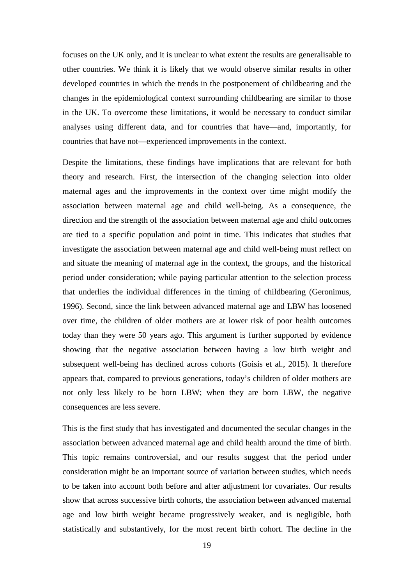focuses on the UK only, and it is unclear to what extent the results are generalisable to other countries. We think it is likely that we would observe similar results in other developed countries in which the trends in the postponement of childbearing and the changes in the epidemiological context surrounding childbearing are similar to those in the UK. To overcome these limitations, it would be necessary to conduct similar analyses using different data, and for countries that have—and, importantly, for countries that have not—experienced improvements in the context.

Despite the limitations, these findings have implications that are relevant for both theory and research. First, the intersection of the changing selection into older maternal ages and the improvements in the context over time might modify the association between maternal age and child well-being. As a consequence, the direction and the strength of the association between maternal age and child outcomes are tied to a specific population and point in time. This indicates that studies that investigate the association between maternal age and child well-being must reflect on and situate the meaning of maternal age in the context, the groups, and the historical period under consideration; while paying particular attention to the selection process that underlies the individual differences in the timing of childbearing (Geronimus, 1996). Second, since the link between advanced maternal age and LBW has loosened over time, the children of older mothers are at lower risk of poor health outcomes today than they were 50 years ago. This argument is further supported by evidence showing that the negative association between having a low birth weight and subsequent well-being has declined across cohorts (Goisis et al., 2015). It therefore appears that, compared to previous generations, today's children of older mothers are not only less likely to be born LBW; when they are born LBW, the negative consequences are less severe.

This is the first study that has investigated and documented the secular changes in the association between advanced maternal age and child health around the time of birth. This topic remains controversial, and our results suggest that the period under consideration might be an important source of variation between studies, which needs to be taken into account both before and after adjustment for covariates. Our results show that across successive birth cohorts, the association between advanced maternal age and low birth weight became progressively weaker, and is negligible, both statistically and substantively, for the most recent birth cohort. The decline in the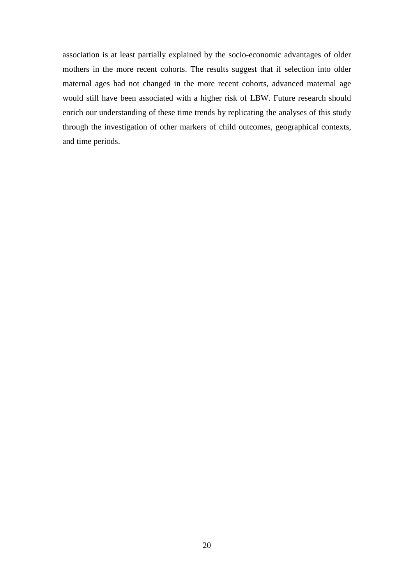association is at least partially explained by the socio-economic advantages of older mothers in the more recent cohorts. The results suggest that if selection into older maternal ages had not changed in the more recent cohorts, advanced maternal age would still have been associated with a higher risk of LBW. Future research should enrich our understanding of these time trends by replicating the analyses of this study through the investigation of other markers of child outcomes, geographical contexts, and time periods.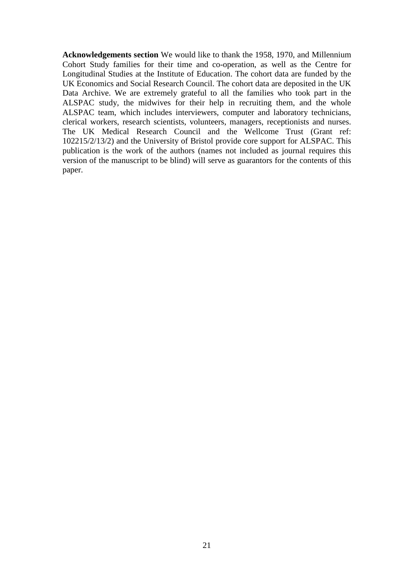**Acknowledgements section** We would like to thank the 1958, 1970, and Millennium Cohort Study families for their time and co-operation, as well as the Centre for Longitudinal Studies at the Institute of Education. The cohort data are funded by the UK Economics and Social Research Council. The cohort data are deposited in the UK Data Archive. We are extremely grateful to all the families who took part in the ALSPAC study, the midwives for their help in recruiting them, and the whole ALSPAC team, which includes interviewers, computer and laboratory technicians, clerical workers, research scientists, volunteers, managers, receptionists and nurses. The UK Medical Research Council and the Wellcome Trust (Grant ref: 102215/2/13/2) and the University of Bristol provide core support for ALSPAC. This publication is the work of the authors (names not included as journal requires this version of the manuscript to be blind) will serve as guarantors for the contents of this paper.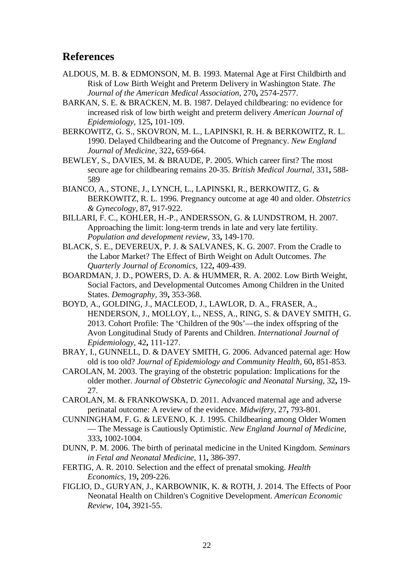### **References**

- ALDOUS, M. B. & EDMONSON, M. B. 1993. Maternal Age at First Childbirth and Risk of Low Birth Weight and Preterm Delivery in Washington State. *The Journal of the American Medical Association,* 270**,** 2574-2577.
- BARKAN, S. E. & BRACKEN, M. B. 1987. Delayed childbearing: no evidence for increased risk of low birth weight and preterm delivery *American Journal of Epidemiology,* 125**,** 101-109.
- BERKOWITZ, G. S., SKOVRON, M. L., LAPINSKI, R. H. & BERKOWITZ, R. L. 1990. Delayed Childbearing and the Outcome of Pregnancy. *New England Journal of Medicine,* 322**,** 659-664.
- BEWLEY, S., DAVIES, M. & BRAUDE, P. 2005. Which career first? The most secure age for childbearing remains 20-35. *British Medical Journal,* 331**,** 588- 589
- BIANCO, A., STONE, J., LYNCH, L., LAPINSKI, R., BERKOWITZ, G. & BERKOWITZ, R. L. 1996. Pregnancy outcome at age 40 and older. *Obstetrics & Gynecology,* 87**,** 917-922.
- BILLARI, F. C., KOHLER, H.-P., ANDERSSON, G. & LUNDSTROM, H. 2007. Approaching the limit: long-term trends in late and very late fertility. *Population and development review,* 33**,** 149-170.
- BLACK, S. E., DEVEREUX, P. J. & SALVANES, K. G. 2007. From the Cradle to the Labor Market? The Effect of Birth Weight on Adult Outcomes. *The Quarterly Journal of Economics,* 122**,** 409-439.
- BOARDMAN, J. D., POWERS, D. A. & HUMMER, R. A. 2002. Low Birth Weight, Social Factors, and Developmental Outcomes Among Children in the United States. *Demography,* 39**,** 353-368.
- BOYD, A., GOLDING, J., MACLEOD, J., LAWLOR, D. A., FRASER, A., HENDERSON, J., MOLLOY, L., NESS, A., RING, S. & DAVEY SMITH, G. 2013. Cohort Profile: The 'Children of the 90s'—the index offspring of the Avon Longitudinal Study of Parents and Children. *International Journal of Epidemiology,* 42**,** 111-127.
- BRAY, I., GUNNELL, D. & DAVEY SMITH, G. 2006. Advanced paternal age: How old is too old? *Journal of Epidemiology and Community Health,* 60**,** 851-853.
- CAROLAN, M. 2003. The graying of the obstetric population: Implications for the older mother. *Journal of Obstetric Gynecologic and Neonatal Nursing,* 32**,** 19- 27.
- CAROLAN, M. & FRANKOWSKA, D. 2011. Advanced maternal age and adverse perinatal outcome: A review of the evidence. *Midwifery,* 27**,** 793-801.
- CUNNINGHAM, F. G. & LEVENO, K. J. 1995. Childbearing among Older Women — The Message is Cautiously Optimistic. *New England Journal of Medicine,* 333**,** 1002-1004.
- DUNN, P. M. 2006. The birth of perinatal medicine in the United Kingdom. *Seminars in Fetal and Neonatal Medicine,* 11**,** 386-397.
- FERTIG, A. R. 2010. Selection and the effect of prenatal smoking. *Health Economics,* 19**,** 209-226.
- FIGLIO, D., GURYAN, J., KARBOWNIK, K. & ROTH, J. 2014. The Effects of Poor Neonatal Health on Children's Cognitive Development. *American Economic Review,* 104**,** 3921-55.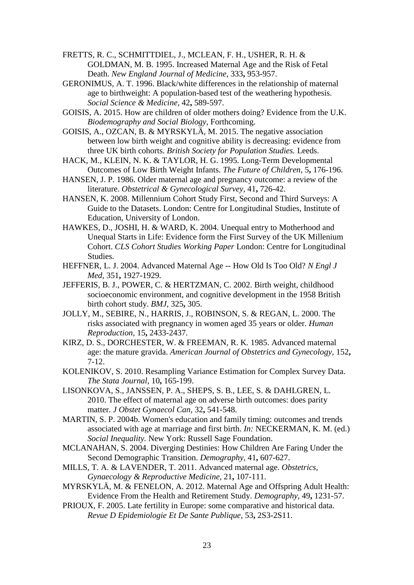- FRETTS, R. C., SCHMITTDIEL, J., MCLEAN, F. H., USHER, R. H. & GOLDMAN, M. B. 1995. Increased Maternal Age and the Risk of Fetal Death. *New England Journal of Medicine,* 333**,** 953-957.
- GERONIMUS, A. T. 1996. Black/white differences in the relationship of maternal age to birthweight: A population-based test of the weathering hypothesis. *Social Science & Medicine,* 42**,** 589-597.
- GOISIS, A. 2015. How are children of older mothers doing? Evidence from the U.K. *Biodemography and Social Biology,* Forthcoming.
- GOISIS, A., OZCAN, B. & MYRSKYLÄ, M. 2015. The negative association between low birth weight and cognitive ability is decreasing: evidence from three UK birth cohorts. *British Society for Population Studies.* Leeds.
- HACK, M., KLEIN, N. K. & TAYLOR, H. G. 1995. Long-Term Developmental Outcomes of Low Birth Weight Infants. *The Future of Children,* 5**,** 176-196.
- HANSEN, J. P. 1986. Older maternal age and pregnancy outcome: a review of the literature. *Obstetrical & Gynecological Survey,* 41**,** 726-42.
- HANSEN, K. 2008. Millennium Cohort Study First, Second and Third Surveys: A Guide to the Datasets. London: Centre for Longitudinal Studies, Institute of Education, University of London.
- HAWKES, D., JOSHI, H. & WARD, K. 2004. Unequal entry to Motherhood and Unequal Starts in Life: Evidence form the First Survey of the UK Millenium Cohort. *CLS Cohort Studies Working Paper* London: Centre for Longitudinal Studies.
- HEFFNER, L. J. 2004. Advanced Maternal Age -- How Old Is Too Old? *N Engl J Med,* 351**,** 1927-1929.
- JEFFERIS, B. J., POWER, C. & HERTZMAN, C. 2002. Birth weight, childhood socioeconomic environment, and cognitive development in the 1958 British birth cohort study. *BMJ,* 325**,** 305.
- JOLLY, M., SEBIRE, N., HARRIS, J., ROBINSON, S. & REGAN, L. 2000. The risks associated with pregnancy in women aged 35 years or older. *Human Reproduction,* 15**,** 2433-2437.
- KIRZ, D. S., DORCHESTER, W. & FREEMAN, R. K. 1985. Advanced maternal age: the mature gravida. *American Journal of Obstetrics and Gynecology,* 152**,** 7-12.
- KOLENIKOV, S. 2010. Resampling Variance Estimation for Complex Survey Data. *The Stata Journal,* 10**,** 165-199.
- LISONKOVA, S., JANSSEN, P. A., SHEPS, S. B., LEE, S. & DAHLGREN, L. 2010. The effect of maternal age on adverse birth outcomes: does parity matter. *J Obstet Gynaecol Can,* 32**,** 541-548.
- MARTIN, S. P. 2004b. Women's education and family timing: outcomes and trends associated with age at marriage and first birth. *In:* NECKERMAN, K. M. (ed.) *Social Inequality.* New York: Russell Sage Foundation.
- MCLANAHAN, S. 2004. Diverging Destinies: How Children Are Faring Under the Second Demographic Transition. *Demography,* 41**,** 607-627.
- MILLS, T. A. & LAVENDER, T. 2011. Advanced maternal age. *Obstetrics, Gynaecology & Reproductive Medicine,* 21**,** 107-111.
- MYRSKYLÄ, M. & FENELON, A. 2012. Maternal Age and Offspring Adult Health: Evidence From the Health and Retirement Study. *Demography,* 49**,** 1231-57.
- PRIOUX, F. 2005. Late fertility in Europe: some comparative and historical data. *Revue D Epidemiologie Et De Sante Publique,* 53**,** 2S3-2S11.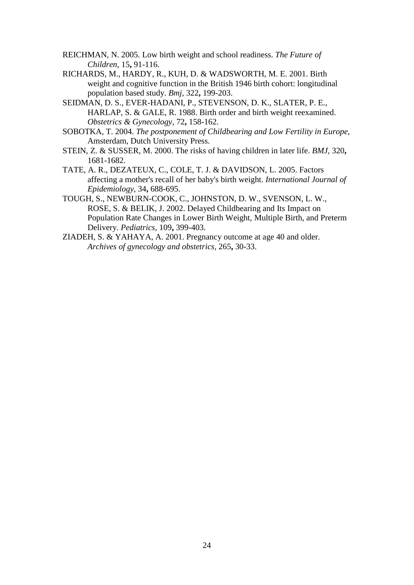- REICHMAN, N. 2005. Low birth weight and school readiness. *The Future of Children,* 15**,** 91-116.
- RICHARDS, M., HARDY, R., KUH, D. & WADSWORTH, M. E. 2001. Birth weight and cognitive function in the British 1946 birth cohort: longitudinal population based study. *Bmj,* 322**,** 199-203.
- SEIDMAN, D. S., EVER-HADANI, P., STEVENSON, D. K., SLATER, P. E., HARLAP, S. & GALE, R. 1988. Birth order and birth weight reexamined. *Obstetrics & Gynecology,* 72**,** 158-162.
- SOBOTKA, T. 2004. *The postponement of Childbearing and Low Fertility in Europe,*  Amsterdam, Dutch University Press.
- STEIN, Z. & SUSSER, M. 2000. The risks of having children in later life. *BMJ,* 320**,** 1681-1682.
- TATE, A. R., DEZATEUX, C., COLE, T. J. & DAVIDSON, L. 2005. Factors affecting a mother's recall of her baby's birth weight. *International Journal of Epidemiology,* 34**,** 688-695.
- TOUGH, S., NEWBURN-COOK, C., JOHNSTON, D. W., SVENSON, L. W., ROSE, S. & BELIK, J. 2002. Delayed Childbearing and Its Impact on Population Rate Changes in Lower Birth Weight, Multiple Birth, and Preterm Delivery. *Pediatrics,* 109**,** 399-403.
- ZIADEH, S. & YAHAYA, A. 2001. Pregnancy outcome at age 40 and older. *Archives of gynecology and obstetrics,* 265**,** 30-33.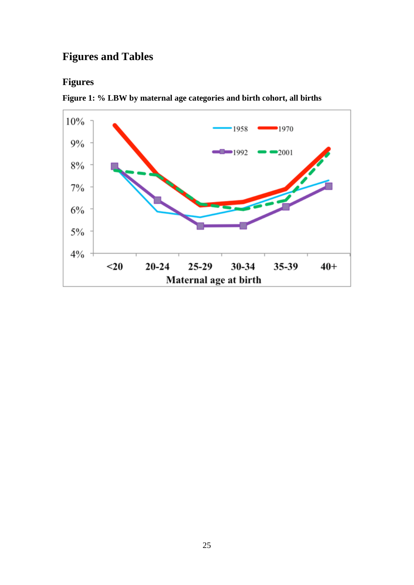## **Figures and Tables**

## **Figures**

<span id="page-25-0"></span>

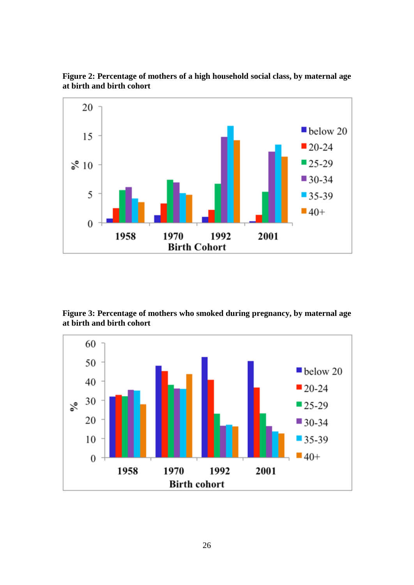

<span id="page-26-0"></span>**Figure 2: Percentage of mothers of a high household social class, by maternal age at birth and birth cohort**

<span id="page-26-1"></span>**Figure 3: Percentage of mothers who smoked during pregnancy, by maternal age at birth and birth cohort**

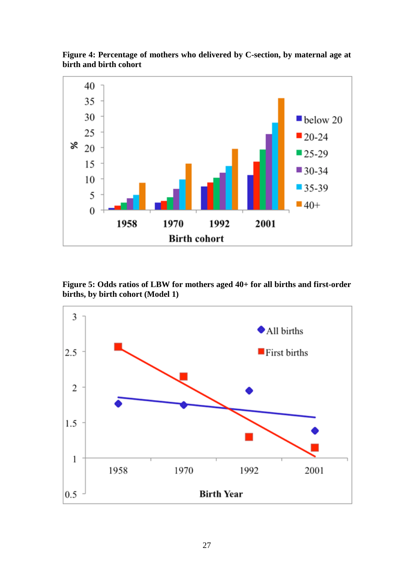

<span id="page-27-0"></span>**Figure 4: Percentage of mothers who delivered by C-section, by maternal age at birth and birth cohort** 

<span id="page-27-1"></span>**Figure 5: Odds ratios of LBW for mothers aged 40+ for all births and first-order births, by birth cohort (Model 1)**

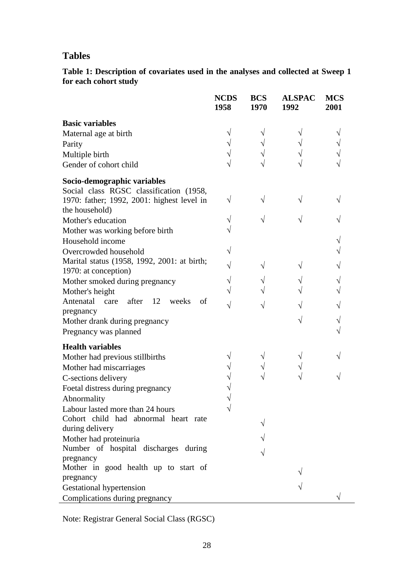### **Tables**

<span id="page-28-0"></span>**Table 1: Description of covariates used in the analyses and collected at Sweep 1 for each cohort study**

|                                             | <b>NCDS</b><br>1958 | <b>BCS</b><br>1970 | <b>ALSPAC</b><br>1992 | <b>MCS</b><br>2001 |
|---------------------------------------------|---------------------|--------------------|-----------------------|--------------------|
| <b>Basic variables</b>                      |                     |                    |                       |                    |
| Maternal age at birth                       |                     |                    |                       |                    |
| Parity                                      |                     |                    |                       |                    |
| Multiple birth                              |                     |                    |                       |                    |
| Gender of cohort child                      |                     |                    |                       |                    |
| Socio-demographic variables                 |                     |                    |                       |                    |
| Social class RGSC classification (1958,     |                     |                    |                       |                    |
| 1970: father; 1992, 2001: highest level in  |                     |                    |                       |                    |
| the household)                              |                     |                    |                       |                    |
| Mother's education                          |                     |                    |                       |                    |
| Mother was working before birth             |                     |                    |                       |                    |
| Household income                            |                     |                    |                       |                    |
| Overcrowded household                       |                     |                    |                       |                    |
| Marital status (1958, 1992, 2001: at birth; |                     |                    |                       |                    |
| 1970: at conception)                        |                     |                    |                       |                    |
| Mother smoked during pregnancy              |                     |                    |                       |                    |
| Mother's height                             |                     |                    |                       |                    |
| after 12<br>Antenatal care<br>of<br>weeks   |                     |                    |                       |                    |
| pregnancy                                   |                     |                    |                       |                    |
| Mother drank during pregnancy               |                     |                    |                       |                    |
| Pregnancy was planned                       |                     |                    |                       |                    |
| <b>Health variables</b>                     |                     |                    |                       |                    |
| Mother had previous stillbirths             |                     |                    |                       |                    |
| Mother had miscarriages                     |                     |                    |                       |                    |
| C-sections delivery                         |                     |                    |                       |                    |
| Foetal distress during pregnancy            |                     |                    |                       |                    |
| Abnormality                                 |                     |                    |                       |                    |
| Labour lasted more than 24 hours            |                     |                    |                       |                    |
| Cohort child had abnormal heart rate        |                     |                    |                       |                    |
| during delivery                             |                     |                    |                       |                    |
| Mother had proteinuria                      |                     |                    |                       |                    |
| Number of hospital discharges during        |                     |                    |                       |                    |
| pregnancy                                   |                     |                    |                       |                    |
| Mother in good health up to start of        |                     |                    |                       |                    |
| pregnancy                                   |                     |                    |                       |                    |
| Gestational hypertension                    |                     |                    |                       |                    |
| Complications during pregnancy              |                     |                    |                       |                    |

Note: Registrar General Social Class (RGSC)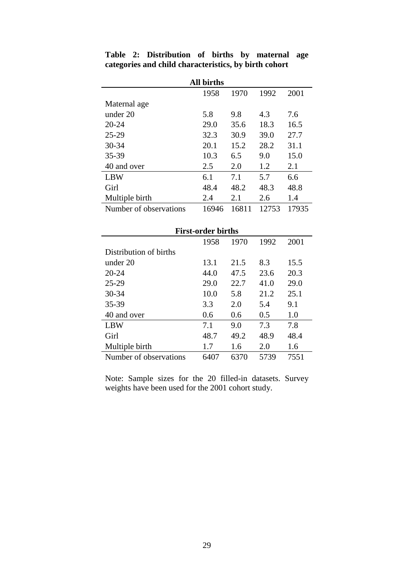|                        | <b>All births</b> |       |       |       |
|------------------------|-------------------|-------|-------|-------|
|                        | 1958              | 1970  | 1992  | 2001  |
| Maternal age           |                   |       |       |       |
| under 20               | 5.8               | 9.8   | 4.3   | 7.6   |
| $20 - 24$              | 29.0              | 35.6  | 18.3  | 16.5  |
| $25-29$                | 32.3              | 30.9  | 39.0  | 27.7  |
| $30 - 34$              | 20.1              | 15.2  | 28.2  | 31.1  |
| 35-39                  | 10.3              | 6.5   | 9.0   | 15.0  |
| 40 and over            | 2.5               | 2.0   | 1.2   | 2.1   |
| <b>LBW</b>             | 6.1               | 7.1   | 5.7   | 6.6   |
| Girl                   | 48.4              | 48.2  | 48.3  | 48.8  |
| Multiple birth         | 2.4               | 2.1   | 2.6   | 1.4   |
| Number of observations | 16946             | 16811 | 12753 | 17935 |

<span id="page-29-0"></span>**Table 2: Distribution of births by maternal age categories and child characteristics, by birth cohort**

| <b>First-order births</b> |      |      |      |      |  |  |  |  |  |
|---------------------------|------|------|------|------|--|--|--|--|--|
|                           | 1958 | 1970 | 1992 | 2001 |  |  |  |  |  |
| Distribution of births    |      |      |      |      |  |  |  |  |  |
| under 20                  | 13.1 | 21.5 | 8.3  | 15.5 |  |  |  |  |  |
| $20 - 24$                 | 44.0 | 47.5 | 23.6 | 20.3 |  |  |  |  |  |
| $25 - 29$                 | 29.0 | 22.7 | 41.0 | 29.0 |  |  |  |  |  |
| $30 - 34$                 | 10.0 | 5.8  | 21.2 | 25.1 |  |  |  |  |  |
| 35-39                     | 3.3  | 2.0  | 5.4  | 9.1  |  |  |  |  |  |
| 40 and over               | 0.6  | 0.6  | 0.5  | 1.0  |  |  |  |  |  |
| <b>LBW</b>                | 7.1  | 9.0  | 7.3  | 7.8  |  |  |  |  |  |
| Girl                      | 48.7 | 49.2 | 48.9 | 48.4 |  |  |  |  |  |
| Multiple birth            | 1.7  | 1.6  | 2.0  | 1.6  |  |  |  |  |  |
| Number of observations    | 6407 | 6370 | 5739 | 7551 |  |  |  |  |  |

Note: Sample sizes for the 20 filled-in datasets. Survey weights have been used for the 2001 cohort study.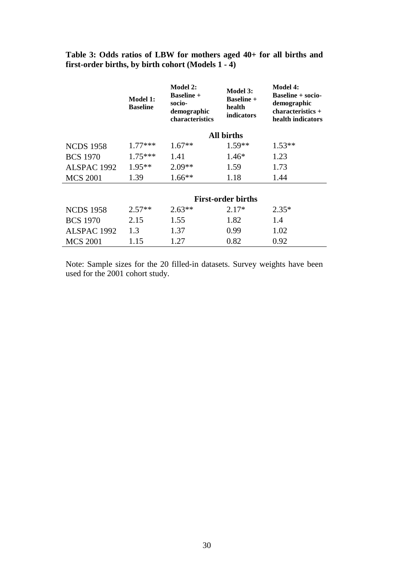<span id="page-30-0"></span>**Table 3: Odds ratios of LBW for mothers aged 40+ for all births and first-order births, by birth cohort (Models 1 - 4)**

|                  | Model 1:<br><b>Baseline</b> | <b>Model 2:</b><br><b>Baseline</b> +<br>socio-<br>demographic<br>characteristics | Model 3:<br><b>Baseline +</b><br>health<br><i>indicators</i> | <b>Model 4:</b><br><b>Baseline + socio-</b><br>demographic<br>$characteristics +$<br>health indicators |
|------------------|-----------------------------|----------------------------------------------------------------------------------|--------------------------------------------------------------|--------------------------------------------------------------------------------------------------------|
|                  |                             |                                                                                  | <b>All births</b>                                            |                                                                                                        |
| <b>NCDS 1958</b> | $1.77***$                   | $1.67**$                                                                         | $1.59**$                                                     | $1.53**$                                                                                               |
| <b>BCS 1970</b>  | $1.75***$                   | 1.41                                                                             | $1.46*$                                                      | 1.23                                                                                                   |
| ALSPAC 1992      | $1.95**$                    | $2.09**$                                                                         | 1.59                                                         | 1.73                                                                                                   |
| <b>MCS 2001</b>  | 1.39                        | $1.66**$                                                                         | 1.18                                                         | 1.44                                                                                                   |
|                  |                             |                                                                                  | <b>First-order births</b>                                    |                                                                                                        |
| <b>NCDS 1958</b> | $2.57**$                    | $2.63**$                                                                         | $2.17*$                                                      | $2.35*$                                                                                                |
| <b>BCS 1970</b>  | 2.15                        | 1.55                                                                             | 1.82                                                         | 1.4                                                                                                    |
| ALSPAC 1992      | 1.3                         | 1.37                                                                             | 0.99                                                         | 1.02                                                                                                   |
| <b>MCS 2001</b>  | 1.15                        | 1.27                                                                             | 0.82                                                         | 0.92                                                                                                   |

Note: Sample sizes for the 20 filled-in datasets. Survey weights have been used for the 2001 cohort study.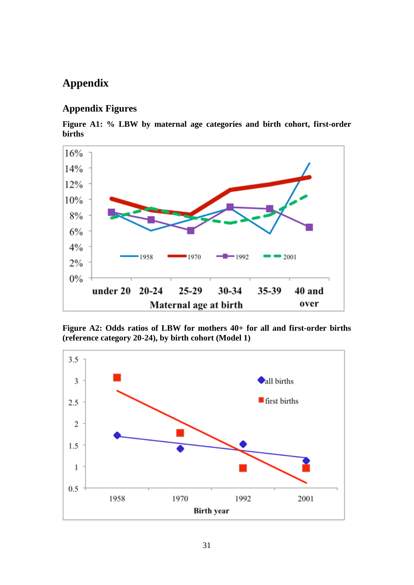## **Appendix**

### **Appendix Figures**

<span id="page-31-1"></span>**Figure A1: % LBW by maternal age categories and birth cohort, first-order births**



<span id="page-31-0"></span>**Figure A2: Odds ratios of LBW for mothers 40+ for all and first-order births (reference category 20-24), by birth cohort (Model 1)**

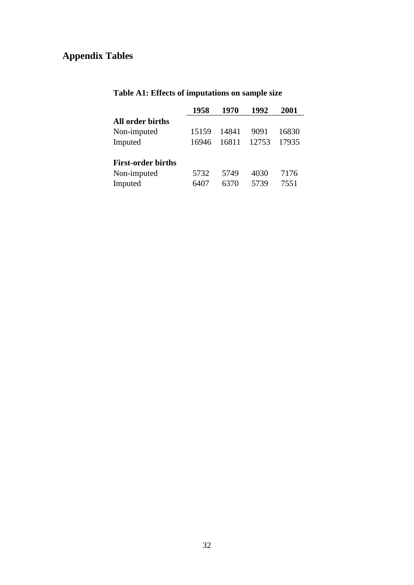## **Appendix Tables**

|                           | 1958  | 1970  | 1992  | <b>2001</b> |
|---------------------------|-------|-------|-------|-------------|
| All order births          |       |       |       |             |
| Non-imputed               | 15159 | 14841 | 9091  | 16830       |
| Imputed                   | 16946 | 16811 | 12753 | 17935       |
| <b>First-order births</b> |       |       |       |             |
| Non-imputed               | 5732  | 5749  | 4030  | 7176        |
| Imputed                   | 6407  | 6370  | 5739  | 7551        |
|                           |       |       |       |             |

## <span id="page-32-0"></span>**Table A1: Effects of imputations on sample size**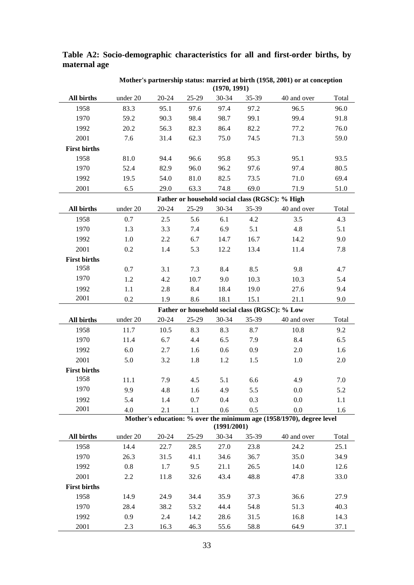|                     | Mother's partnership status: married at birth (1958, 2001) or at conception<br>(1970, 1991) |           |         |             |       |                                                                             |       |  |  |  |
|---------------------|---------------------------------------------------------------------------------------------|-----------|---------|-------------|-------|-----------------------------------------------------------------------------|-------|--|--|--|
| All births          | under 20                                                                                    | $20 - 24$ | 25-29   | 30-34       | 35-39 | 40 and over                                                                 | Total |  |  |  |
| 1958                | 83.3                                                                                        | 95.1      | 97.6    | 97.4        | 97.2  | 96.5                                                                        | 96.0  |  |  |  |
| 1970                | 59.2                                                                                        | 90.3      | 98.4    | 98.7        | 99.1  | 99.4                                                                        | 91.8  |  |  |  |
| 1992                | 20.2                                                                                        | 56.3      | 82.3    | 86.4        | 82.2  | 77.2                                                                        | 76.0  |  |  |  |
| 2001                | 7.6                                                                                         | 31.4      | 62.3    | 75.0        | 74.5  | 71.3                                                                        | 59.0  |  |  |  |
| <b>First births</b> |                                                                                             |           |         |             |       |                                                                             |       |  |  |  |
| 1958                | 81.0                                                                                        | 94.4      | 96.6    | 95.8        | 95.3  | 95.1                                                                        | 93.5  |  |  |  |
| 1970                | 52.4                                                                                        | 82.9      | 96.0    | 96.2        | 97.6  | 97.4                                                                        | 80.5  |  |  |  |
| 1992                | 19.5                                                                                        | 54.0      | 81.0    | 82.5        | 73.5  | 71.0                                                                        | 69.4  |  |  |  |
| 2001                | 6.5                                                                                         | 29.0      | 63.3    | 74.8        | 69.0  | 71.9                                                                        | 51.0  |  |  |  |
|                     |                                                                                             |           |         |             |       | Father or household social class (RGSC): % High                             |       |  |  |  |
| All births          | under 20                                                                                    | $20 - 24$ | 25-29   | 30-34       | 35-39 | 40 and over                                                                 | Total |  |  |  |
| 1958                | 0.7                                                                                         | 2.5       | 5.6     | 6.1         | 4.2   | 3.5                                                                         | 4.3   |  |  |  |
| 1970                | 1.3                                                                                         | 3.3       | 7.4     | 6.9         | 5.1   | 4.8                                                                         | 5.1   |  |  |  |
| 1992                | 1.0                                                                                         | 2.2       | 6.7     | 14.7        | 16.7  | 14.2                                                                        | 9.0   |  |  |  |
| 2001                | 0.2                                                                                         | 1.4       | 5.3     | 12.2        | 13.4  | 11.4                                                                        | 7.8   |  |  |  |
| <b>First births</b> |                                                                                             |           |         |             |       |                                                                             |       |  |  |  |
| 1958                | 0.7                                                                                         | 3.1       | 7.3     | 8.4         | 8.5   | 9.8                                                                         | 4.7   |  |  |  |
| 1970                | 1.2                                                                                         | 4.2       |         |             |       |                                                                             |       |  |  |  |
|                     |                                                                                             |           | 10.7    | 9.0         | 10.3  | 10.3                                                                        | 5.4   |  |  |  |
| 1992<br>2001        | 1.1                                                                                         | 2.8       | 8.4     | 18.4        | 19.0  | 27.6                                                                        | 9.4   |  |  |  |
|                     | 0.2                                                                                         | 1.9       | 8.6     | 18.1        | 15.1  | 21.1                                                                        | 9.0   |  |  |  |
|                     |                                                                                             |           |         |             |       | Father or household social class (RGSC): % Low                              |       |  |  |  |
| All births          | under 20                                                                                    | $20 - 24$ | $25-29$ | $30 - 34$   | 35-39 | 40 and over                                                                 | Total |  |  |  |
| 1958                | 11.7                                                                                        | 10.5      | 8.3     | 8.3         | 8.7   | 10.8                                                                        | 9.2   |  |  |  |
| 1970                | 11.4                                                                                        | 6.7       | 4.4     | 6.5         | 7.9   | 8.4                                                                         | 6.5   |  |  |  |
| 1992                | 6.0                                                                                         | 2.7       | 1.6     | 0.6         | 0.9   | 2.0                                                                         | 1.6   |  |  |  |
| 2001                | 5.0                                                                                         | 3.2       | 1.8     | 1.2         | 1.5   | 1.0                                                                         | 2.0   |  |  |  |
| <b>First births</b> |                                                                                             |           |         |             |       |                                                                             |       |  |  |  |
| 1958                | 11.1                                                                                        | 7.9       | 4.5     | 5.1         | 6.6   | 4.9                                                                         | 7.0   |  |  |  |
| 1970                | 9.9                                                                                         | 4.8       | 1.6     | 4.9         | 5.5   | 0.0                                                                         | 5.2   |  |  |  |
| 1992                | 5.4                                                                                         | 1.4       | 0.7     | 0.4         | 0.3   | 0.0                                                                         | 1.1   |  |  |  |
| 2001                | 4.0                                                                                         | 2.1       | 1.1     | 0.6         | 0.5   | 0.0<br>Mother's education: % over the minimum age (1958/1970), degree level | 1.6   |  |  |  |
|                     |                                                                                             |           |         | (1991/2001) |       |                                                                             |       |  |  |  |
| All births          | under 20                                                                                    | $20 - 24$ | 25-29   | 30-34       | 35-39 | 40 and over                                                                 | Total |  |  |  |
| 1958                | 14.4                                                                                        | 22.7      | 28.5    | 27.0        | 23.8  | 24.2                                                                        | 25.1  |  |  |  |
| 1970                | 26.3                                                                                        | 31.5      | 41.1    | 34.6        | 36.7  | 35.0                                                                        | 34.9  |  |  |  |
| 1992                | 0.8                                                                                         | 1.7       | 9.5     | 21.1        | 26.5  | 14.0                                                                        | 12.6  |  |  |  |
| 2001                | 2.2                                                                                         | 11.8      | 32.6    | 43.4        | 48.8  | 47.8                                                                        | 33.0  |  |  |  |
| <b>First births</b> |                                                                                             |           |         |             |       |                                                                             |       |  |  |  |
| 1958                | 14.9                                                                                        | 24.9      | 34.4    | 35.9        | 37.3  | 36.6                                                                        | 27.9  |  |  |  |
| 1970                | 28.4                                                                                        | 38.2      | 53.2    | 44.4        | 54.8  | 51.3                                                                        | 40.3  |  |  |  |
| 1992                | 0.9                                                                                         | 2.4       | 14.2    | 28.6        | 31.5  | 16.8                                                                        | 14.3  |  |  |  |
| 2001                | 2.3                                                                                         | 16.3      | 46.3    | 55.6        | 58.8  | 64.9                                                                        | 37.1  |  |  |  |

<span id="page-33-0"></span>**Table A2: Socio-demographic characteristics for all and first-order births, by maternal age**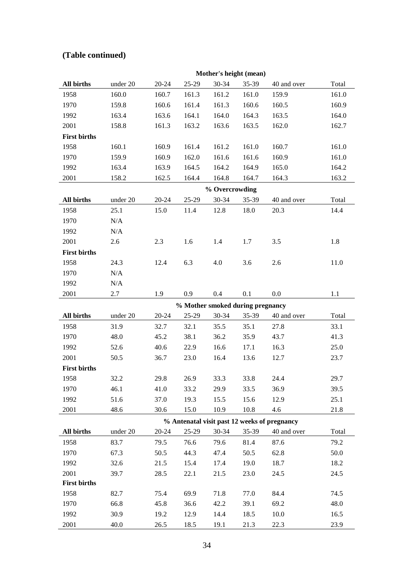|                     |                                  |           |       | Mother's height (mean) |       |                                              |       |  |  |
|---------------------|----------------------------------|-----------|-------|------------------------|-------|----------------------------------------------|-------|--|--|
| All births          | under 20                         | $20 - 24$ | 25-29 | $30 - 34$              | 35-39 | 40 and over                                  | Total |  |  |
| 1958                | 160.0                            | 160.7     | 161.3 | 161.2                  | 161.0 | 159.9                                        | 161.0 |  |  |
| 1970                | 159.8                            | 160.6     | 161.4 | 161.3                  | 160.6 | 160.5                                        | 160.9 |  |  |
| 1992                | 163.4                            | 163.6     | 164.1 | 164.0                  | 164.3 | 163.5                                        | 164.0 |  |  |
| 2001                | 158.8                            | 161.3     | 163.2 | 163.6                  | 163.5 | 162.0                                        | 162.7 |  |  |
| <b>First births</b> |                                  |           |       |                        |       |                                              |       |  |  |
| 1958                | 160.1                            | 160.9     | 161.4 | 161.2                  | 161.0 | 160.7                                        | 161.0 |  |  |
| 1970                | 159.9                            | 160.9     | 162.0 | 161.6                  | 161.6 | 160.9                                        | 161.0 |  |  |
| 1992                | 163.4                            | 163.9     | 164.5 | 164.2                  | 164.9 | 165.0                                        | 164.2 |  |  |
| 2001                | 158.2                            | 162.5     | 164.4 | 164.8                  | 164.7 | 164.3                                        | 163.2 |  |  |
|                     |                                  |           |       | % Overcrowding         |       |                                              |       |  |  |
| <b>All births</b>   | under 20                         | $20 - 24$ | 25-29 | 30-34                  | 35-39 | 40 and over                                  | Total |  |  |
| 1958                | 25.1                             | 15.0      | 11.4  | 12.8                   | 18.0  | 20.3                                         | 14.4  |  |  |
| 1970                | N/A                              |           |       |                        |       |                                              |       |  |  |
| 1992                | N/A                              |           |       |                        |       |                                              |       |  |  |
| 2001                | 2.6                              | 2.3       | 1.6   | 1.4                    | 1.7   | 3.5                                          | 1.8   |  |  |
| <b>First births</b> |                                  |           |       |                        |       |                                              |       |  |  |
| 1958                | 24.3                             | 12.4      | 6.3   | 4.0                    | 3.6   | 2.6                                          | 11.0  |  |  |
| 1970                | N/A                              |           |       |                        |       |                                              |       |  |  |
| 1992                | N/A                              |           |       |                        |       |                                              |       |  |  |
| 2001                | 2.7                              | 1.9       | 0.9   | 0.4                    | 0.1   | 0.0                                          | 1.1   |  |  |
|                     | % Mother smoked during pregnancy |           |       |                        |       |                                              |       |  |  |
| <b>All births</b>   | under 20                         | $20 - 24$ | 25-29 | 30-34                  | 35-39 | 40 and over                                  | Total |  |  |
| 1958                | 31.9                             | 32.7      | 32.1  | 35.5                   | 35.1  | 27.8                                         | 33.1  |  |  |
| 1970                | 48.0                             | 45.2      | 38.1  | 36.2                   | 35.9  | 43.7                                         | 41.3  |  |  |
| 1992                | 52.6                             | 40.6      | 22.9  | 16.6                   | 17.1  | 16.3                                         | 25.0  |  |  |
| 2001                | 50.5                             | 36.7      | 23.0  | 16.4                   | 13.6  | 12.7                                         | 23.7  |  |  |
| <b>First births</b> |                                  |           |       |                        |       |                                              |       |  |  |
| 1958                | 32.2                             | 29.8      | 26.9  | 33.3                   | 33.8  | 24.4                                         | 29.7  |  |  |
| 1970                | 46.1                             | 41.0      | 33.2  | 29.9                   | 33.5  | 36.9                                         | 39.5  |  |  |
| 1992                | 51.6                             | 37.0      | 19.3  | 15.5                   | 15.6  | 12.9                                         | 25.1  |  |  |
| 2001                | 48.6                             | 30.6      | 15.0  | 10.9                   | 10.8  | 4.6                                          | 21.8  |  |  |
|                     |                                  |           |       |                        |       | % Antenatal visit past 12 weeks of pregnancy |       |  |  |
| <b>All births</b>   | under 20                         | 20-24     | 25-29 | $30 - 34$              | 35-39 | 40 and over                                  | Total |  |  |
| 1958                | 83.7                             | 79.5      | 76.6  | 79.6                   | 81.4  | 87.6                                         | 79.2  |  |  |
| 1970                | 67.3                             | 50.5      | 44.3  | 47.4                   | 50.5  | 62.8                                         | 50.0  |  |  |
| 1992                | 32.6                             | 21.5      | 15.4  | 17.4                   | 19.0  | 18.7                                         | 18.2  |  |  |
| 2001                | 39.7                             | 28.5      | 22.1  | 21.5                   | 23.0  | 24.5                                         | 24.5  |  |  |
| <b>First births</b> |                                  |           |       |                        |       |                                              |       |  |  |
| 1958                | 82.7                             | 75.4      | 69.9  | 71.8                   | 77.0  | 84.4                                         | 74.5  |  |  |
| 1970                | 66.8                             | 45.8      | 36.6  | 42.2                   | 39.1  | 69.2                                         | 48.0  |  |  |
| 1992                | 30.9                             | 19.2      | 12.9  | 14.4                   | 18.5  | 10.0                                         | 16.5  |  |  |
| 2001                | 40.0                             | 26.5      | 18.5  | 19.1                   | 21.3  | 22.3                                         | 23.9  |  |  |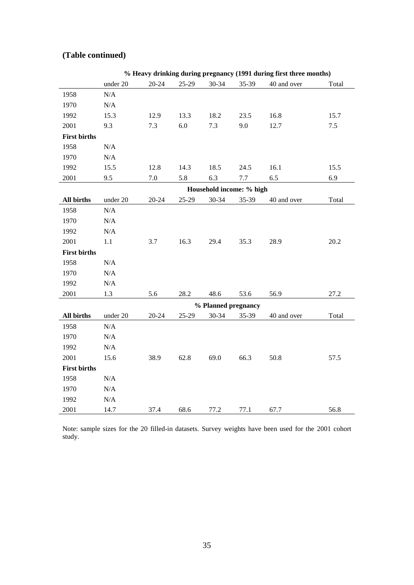|                     |           |           |       |                          |       | % Heavy drinking during pregnancy (1991 during first three months) |       |
|---------------------|-----------|-----------|-------|--------------------------|-------|--------------------------------------------------------------------|-------|
|                     | under 20  | $20 - 24$ | 25-29 | 30-34                    | 35-39 | 40 and over                                                        | Total |
| 1958                | $\rm N/A$ |           |       |                          |       |                                                                    |       |
| 1970                | $\rm N/A$ |           |       |                          |       |                                                                    |       |
| 1992                | 15.3      | 12.9      | 13.3  | 18.2                     | 23.5  | 16.8                                                               | 15.7  |
| 2001                | 9.3       | 7.3       | 6.0   | 7.3                      | 9.0   | 12.7                                                               | 7.5   |
| <b>First births</b> |           |           |       |                          |       |                                                                    |       |
| 1958                | $\rm N/A$ |           |       |                          |       |                                                                    |       |
| 1970                | $\rm N/A$ |           |       |                          |       |                                                                    |       |
| 1992                | 15.5      | 12.8      | 14.3  | 18.5                     | 24.5  | 16.1                                                               | 15.5  |
| 2001                | 9.5       | 7.0       | 5.8   | 6.3                      | 7.7   | 6.5                                                                | 6.9   |
|                     |           |           |       | Household income: % high |       |                                                                    |       |
| <b>All births</b>   | under 20  | $20 - 24$ | 25-29 | 30-34                    | 35-39 | 40 and over                                                        | Total |
| 1958                | $\rm N/A$ |           |       |                          |       |                                                                    |       |
| 1970                | N/A       |           |       |                          |       |                                                                    |       |
| 1992                | $\rm N/A$ |           |       |                          |       |                                                                    |       |
| 2001                | 1.1       | 3.7       | 16.3  | 29.4                     | 35.3  | 28.9                                                               | 20.2  |
| <b>First births</b> |           |           |       |                          |       |                                                                    |       |
| 1958                | N/A       |           |       |                          |       |                                                                    |       |
| 1970                | N/A       |           |       |                          |       |                                                                    |       |
| 1992                | N/A       |           |       |                          |       |                                                                    |       |
| 2001                | 1.3       | 5.6       | 28.2  | 48.6                     | 53.6  | 56.9                                                               | 27.2  |
|                     |           |           |       | % Planned pregnancy      |       |                                                                    |       |
| All births          | under 20  | $20 - 24$ | 25-29 | 30-34                    | 35-39 | 40 and over                                                        | Total |
| 1958                | $\rm N/A$ |           |       |                          |       |                                                                    |       |
| 1970                | $\rm N/A$ |           |       |                          |       |                                                                    |       |
| 1992                | N/A       |           |       |                          |       |                                                                    |       |
| 2001                | 15.6      | 38.9      | 62.8  | 69.0                     | 66.3  | 50.8                                                               | 57.5  |
| <b>First births</b> |           |           |       |                          |       |                                                                    |       |
| 1958                | $\rm N/A$ |           |       |                          |       |                                                                    |       |
| 1970                | $\rm N/A$ |           |       |                          |       |                                                                    |       |
| 1992                | $\rm N/A$ |           |       |                          |       |                                                                    |       |
| 2001                | 14.7      | 37.4      | 68.6  | 77.2                     | 77.1  | 67.7                                                               | 56.8  |

Note: sample sizes for the 20 filled-in datasets. Survey weights have been used for the 2001 cohort study.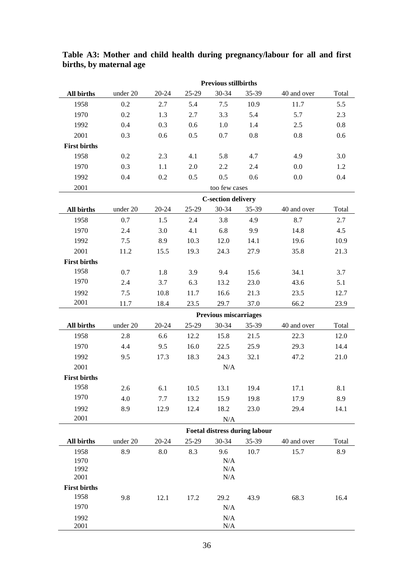|                     | <b>Previous stillbirths</b> |           |       |                              |                                      |             |       |  |  |
|---------------------|-----------------------------|-----------|-------|------------------------------|--------------------------------------|-------------|-------|--|--|
| All births          | under 20                    | $20 - 24$ | 25-29 | 30-34                        | 35-39                                | 40 and over | Total |  |  |
| 1958                | 0.2                         | 2.7       | 5.4   | $7.5$                        | 10.9                                 | 11.7        | 5.5   |  |  |
| 1970                | 0.2                         | 1.3       | 2.7   | 3.3                          | 5.4                                  | 5.7         | 2.3   |  |  |
| 1992                | 0.4                         | 0.3       | 0.6   | 1.0                          | 1.4                                  | 2.5         | 0.8   |  |  |
| 2001                | 0.3                         | 0.6       | 0.5   | 0.7                          | 0.8                                  | 0.8         | 0.6   |  |  |
| <b>First births</b> |                             |           |       |                              |                                      |             |       |  |  |
| 1958                | 0.2                         | 2.3       | 4.1   | 5.8                          | 4.7                                  | 4.9         | 3.0   |  |  |
| 1970                | 0.3                         | 1.1       | 2.0   | 2.2                          | 2.4                                  | 0.0         | 1.2   |  |  |
| 1992                | 0.4                         | 0.2       | 0.5   | 0.5                          | 0.6                                  | 0.0         | 0.4   |  |  |
| 2001                |                             |           |       | too few cases                |                                      |             |       |  |  |
|                     |                             |           |       | <b>C-section delivery</b>    |                                      |             |       |  |  |
| All births          | under 20                    | $20 - 24$ | 25-29 | 30-34                        | 35-39                                | 40 and over | Total |  |  |
| 1958                | 0.7                         | 1.5       | 2.4   | 3.8                          | 4.9                                  | 8.7         | 2.7   |  |  |
| 1970                | 2.4                         | 3.0       | 4.1   | 6.8                          | 9.9                                  | 14.8        | 4.5   |  |  |
| 1992                | 7.5                         | 8.9       | 10.3  | 12.0                         | 14.1                                 | 19.6        | 10.9  |  |  |
| 2001                | 11.2                        | 15.5      | 19.3  | 24.3                         | 27.9                                 | 35.8        | 21.3  |  |  |
| <b>First births</b> |                             |           |       |                              |                                      |             |       |  |  |
| 1958                | 0.7                         | 1.8       | 3.9   | 9.4                          | 15.6                                 | 34.1        | 3.7   |  |  |
| 1970                | 2.4                         | 3.7       | 6.3   | 13.2                         | 23.0                                 | 43.6        | 5.1   |  |  |
| 1992                | 7.5                         | 10.8      | 11.7  | 16.6                         | 21.3                                 | 23.5        | 12.7  |  |  |
| 2001                | 11.7                        | 18.4      | 23.5  | 29.7                         | 37.0                                 | 66.2        | 23.9  |  |  |
|                     |                             |           |       | <b>Previous miscarriages</b> |                                      |             |       |  |  |
| All births          | under 20                    | $20 - 24$ | 25-29 | $30 - 34$                    | 35-39                                | 40 and over | Total |  |  |
| 1958                | 2.8                         | 6.6       | 12.2  | 15.8                         | 21.5                                 | 22.3        | 12.0  |  |  |
| 1970                | 4.4                         | 9.5       | 16.0  | 22.5                         | 25.9                                 | 29.3        | 14.4  |  |  |
| 1992                | 9.5                         | 17.3      | 18.3  | 24.3                         | 32.1                                 | 47.2        | 21.0  |  |  |
| 2001                |                             |           |       | N/A                          |                                      |             |       |  |  |
| <b>First births</b> |                             |           |       |                              |                                      |             |       |  |  |
| 1958                | 2.6                         | 6.1       | 10.5  | 13.1                         | 19.4                                 | 17.1        | 8.1   |  |  |
| 1970                | 4.0                         | 7.7       | 13.2  | 15.9                         | 19.8                                 | 17.9        | 8.9   |  |  |
| 1992                | 8.9                         | 12.9      | 12.4  | 18.2                         | 23.0                                 | 29.4        | 14.1  |  |  |
| 2001                |                             |           |       | N/A                          |                                      |             |       |  |  |
|                     |                             |           |       |                              | <b>Foetal distress during labour</b> |             |       |  |  |
| All births          | under 20                    | $20 - 24$ | 25-29 | 30-34                        | 35-39                                | 40 and over | Total |  |  |
| 1958                | 8.9                         | 8.0       | 8.3   | 9.6                          | 10.7                                 | 15.7        | 8.9   |  |  |
| 1970<br>1992        |                             |           |       | N/A<br>N/A                   |                                      |             |       |  |  |
| 2001                |                             |           |       | N/A                          |                                      |             |       |  |  |
| <b>First births</b> |                             |           |       |                              |                                      |             |       |  |  |
| 1958                | 9.8                         | 12.1      | 17.2  | 29.2                         | 43.9                                 | 68.3        | 16.4  |  |  |
| 1970                |                             |           |       | N/A                          |                                      |             |       |  |  |
| 1992                |                             |           |       | N/A                          |                                      |             |       |  |  |
| 2001                |                             |           |       | N/A                          |                                      |             |       |  |  |

<span id="page-36-0"></span>**Table A3: Mother and child health during pregnancy/labour for all and first births, by maternal age**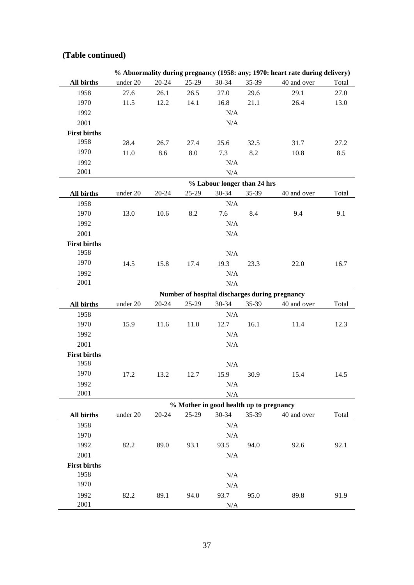|                     |          |           |       |                                         |       | % Abnormality during pregnancy (1958: any; 1970: heart rate during delivery) |       |
|---------------------|----------|-----------|-------|-----------------------------------------|-------|------------------------------------------------------------------------------|-------|
| All births          | under 20 | $20 - 24$ | 25-29 | $30 - 34$                               | 35-39 | 40 and over                                                                  | Total |
| 1958                | 27.6     | 26.1      | 26.5  | 27.0                                    | 29.6  | 29.1                                                                         | 27.0  |
| 1970                | 11.5     | 12.2      | 14.1  | 16.8                                    | 21.1  | 26.4                                                                         | 13.0  |
| 1992                |          |           |       | N/A                                     |       |                                                                              |       |
| 2001                |          |           |       | $\rm N/A$                               |       |                                                                              |       |
| <b>First births</b> |          |           |       |                                         |       |                                                                              |       |
| 1958                | 28.4     | 26.7      | 27.4  | 25.6                                    | 32.5  | 31.7                                                                         | 27.2  |
| 1970                | 11.0     | 8.6       | 8.0   | 7.3                                     | 8.2   | 10.8                                                                         | 8.5   |
| 1992                |          |           |       | N/A                                     |       |                                                                              |       |
| 2001                |          |           |       | $\rm N/A$                               |       |                                                                              |       |
|                     |          |           |       | % Labour longer than 24 hrs             |       |                                                                              |       |
| All births          | under 20 | $20 - 24$ | 25-29 | 30-34                                   | 35-39 | 40 and over                                                                  | Total |
| 1958                |          |           |       | N/A                                     |       |                                                                              |       |
| 1970                | 13.0     | 10.6      | 8.2   | 7.6                                     | 8.4   | 9.4                                                                          | 9.1   |
| 1992                |          |           |       | N/A                                     |       |                                                                              |       |
| 2001                |          |           |       | N/A                                     |       |                                                                              |       |
| <b>First births</b> |          |           |       |                                         |       |                                                                              |       |
| 1958                |          |           |       | N/A                                     |       |                                                                              |       |
| 1970                | 14.5     | 15.8      | 17.4  | 19.3                                    | 23.3  | 22.0                                                                         | 16.7  |
| 1992                |          |           |       | N/A                                     |       |                                                                              |       |
| 2001                |          |           |       | N/A                                     |       |                                                                              |       |
|                     |          |           |       |                                         |       | Number of hospital discharges during pregnancy                               |       |
| All births          | under 20 | 20-24     | 25-29 | 30-34                                   | 35-39 | 40 and over                                                                  | Total |
| 1958                |          |           |       | N/A                                     |       |                                                                              |       |
| 1970                | 15.9     | 11.6      | 11.0  | 12.7                                    | 16.1  | 11.4                                                                         | 12.3  |
| 1992                |          |           |       | N/A                                     |       |                                                                              |       |
| 2001                |          |           |       | N/A                                     |       |                                                                              |       |
| <b>First births</b> |          |           |       |                                         |       |                                                                              |       |
| 1958                |          |           |       | N/A                                     |       |                                                                              |       |
| 1970                | 17.2     | 13.2      | 12.7  | 15.9                                    | 30.9  | 15.4                                                                         | 14.5  |
| 1992                |          |           |       | $\rm N/A$                               |       |                                                                              |       |
| 2001                |          |           |       | N/A                                     |       |                                                                              |       |
|                     |          |           |       | % Mother in good health up to pregnancy |       |                                                                              |       |
| All births          | under 20 | $20 - 24$ | 25-29 | $30 - 34$                               | 35-39 | 40 and over                                                                  | Total |
| 1958                |          |           |       | N/A                                     |       |                                                                              |       |
| 1970                |          |           |       | $\rm N/A$                               |       |                                                                              |       |
| 1992                | 82.2     | 89.0      | 93.1  | 93.5                                    | 94.0  | 92.6                                                                         | 92.1  |
| 2001                |          |           |       | N/A                                     |       |                                                                              |       |
| <b>First births</b> |          |           |       |                                         |       |                                                                              |       |
| 1958                |          |           |       | N/A                                     |       |                                                                              |       |
| 1970                |          |           |       | $\rm N/A$                               |       |                                                                              |       |
| 1992                | 82.2     | 89.1      | 94.0  | 93.7                                    | 95.0  | 89.8                                                                         | 91.9  |
| 2001                |          |           |       | N/A                                     |       |                                                                              |       |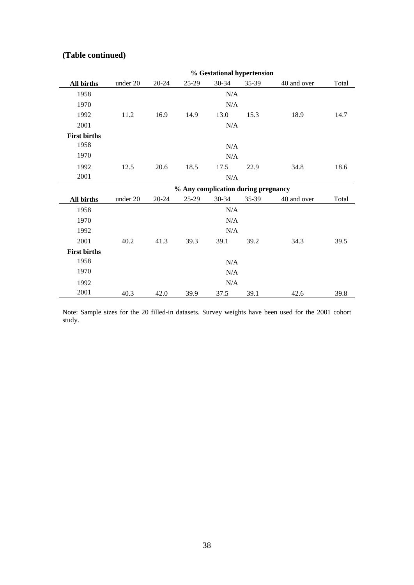|                     | % Gestational hypertension          |           |         |           |       |             |       |  |  |
|---------------------|-------------------------------------|-----------|---------|-----------|-------|-------------|-------|--|--|
| All births          | under 20                            | $20 - 24$ | $25-29$ | 30-34     | 35-39 | 40 and over | Total |  |  |
| 1958                |                                     |           |         | N/A       |       |             |       |  |  |
| 1970                |                                     |           |         | $\rm N/A$ |       |             |       |  |  |
| 1992                | 11.2                                | 16.9      | 14.9    | 13.0      | 15.3  | 18.9        | 14.7  |  |  |
| 2001                |                                     |           |         | N/A       |       |             |       |  |  |
| <b>First births</b> |                                     |           |         |           |       |             |       |  |  |
| 1958                |                                     |           |         | N/A       |       |             |       |  |  |
| 1970                |                                     |           |         | N/A       |       |             |       |  |  |
| 1992                | 12.5                                | 20.6      | 18.5    | 17.5      | 22.9  | 34.8        | 18.6  |  |  |
| 2001                |                                     |           |         | N/A       |       |             |       |  |  |
|                     | % Any complication during pregnancy |           |         |           |       |             |       |  |  |
|                     |                                     |           |         |           |       |             |       |  |  |
| <b>All births</b>   | under 20                            | $20 - 24$ | $25-29$ | 30-34     | 35-39 | 40 and over | Total |  |  |
| 1958                |                                     |           |         | N/A       |       |             |       |  |  |
| 1970                |                                     |           |         | N/A       |       |             |       |  |  |
| 1992                |                                     |           |         | N/A       |       |             |       |  |  |
| 2001                | 40.2                                | 41.3      | 39.3    | 39.1      | 39.2  | 34.3        | 39.5  |  |  |
| <b>First births</b> |                                     |           |         |           |       |             |       |  |  |
| 1958                |                                     |           |         | N/A       |       |             |       |  |  |
| 1970                |                                     |           |         | N/A       |       |             |       |  |  |
| 1992                |                                     |           |         | N/A       |       |             |       |  |  |

Note: Sample sizes for the 20 filled-in datasets. Survey weights have been used for the 2001 cohort study.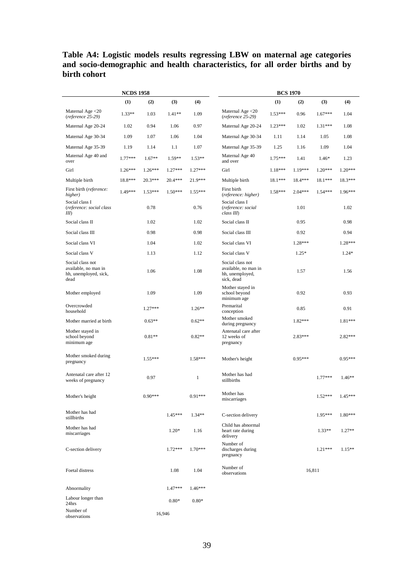#### <span id="page-39-0"></span>**Table A4: Logistic models results regressing LBW on maternal age categories and socio-demographic and health characteristics, for all order births and by birth cohort**

| <b>NCDS 1958</b>                                                          |           |           |           | <b>BCS 1970</b> |                                                                           |           |           |           |           |
|---------------------------------------------------------------------------|-----------|-----------|-----------|-----------------|---------------------------------------------------------------------------|-----------|-----------|-----------|-----------|
|                                                                           | (1)       | (2)       | (3)       | (4)             |                                                                           | (1)       | (2)       | (3)       | (4)       |
| Maternal Age $<$ 20<br>(reference 25-29)                                  | $1.33**$  | 1.03      | $1.41**$  | 1.09            | Maternal Age $<$ 20<br>(reference 25-29)                                  | $1.53***$ | 0.96      | $1.67***$ | 1.04      |
| Maternal Age 20-24                                                        | 1.02      | 0.94      | 1.06      | 0.97            | Maternal Age 20-24                                                        | $1.23***$ | 1.02      | $1.31***$ | 1.08      |
| Maternal Age 30-34                                                        | 1.09      | 1.07      | 1.06      | 1.04            | Maternal Age 30-34                                                        | 1.11      | 1.14      | 1.05      | 1.08      |
| Maternal Age 35-39                                                        | 1.19      | 1.14      | 1.1       | 1.07            | Maternal Age 35-39                                                        | 1.25      | 1.16      | 1.09      | 1.04      |
| Maternal Age 40 and<br>over                                               | $1.77***$ | $1.67**$  | 1.59**    | $1.53**$        | Maternal Age 40<br>and over                                               | $1.75***$ | 1.41      | $1.46*$   | 1.23      |
| Girl                                                                      | $1.26***$ | $1.26***$ | $1.27***$ | $1.27***$       | Girl                                                                      | $1.18***$ | $1.19***$ | $1.20***$ | 1.20***   |
| Multiple birth                                                            | 18.8***   | 20.3***   | $20.4***$ | $21.9***$       | Multiple birth                                                            | 18.1***   | 18.4***   | 18.1***   | 18.3***   |
| First birth (reference:<br>higher)                                        | 1.49***   | $1.53***$ | $1.50***$ | $1.55***$       | First birth<br>(reference: higher)                                        | $1.58***$ | $2.04***$ | $1.54***$ | $1.96***$ |
| Social class I<br>(reference: social class<br>III                         |           | 0.78      |           | 0.76            | Social class I<br>(reference: social<br>class III)                        |           | 1.01      |           | 1.02      |
| Social class II                                                           |           | 1.02      |           | 1.02            | Social class II                                                           |           | 0.95      |           | 0.98      |
| Social class III                                                          |           | 0.98      |           | 0.98            | Social class III                                                          |           | 0.92      |           | 0.94      |
| Social class VI                                                           |           | 1.04      |           | 1.02            | Social class VI                                                           |           | 1.28***   |           | $1.28***$ |
| Social class V                                                            |           | 1.13      |           | 1.12            | Social class V                                                            |           | $1.25*$   |           | $1.24*$   |
| Social class not<br>available, no man in<br>hh, unemployed, sick,<br>dead |           | 1.06      |           | 1.08            | Social class not<br>available, no man in<br>hh, unemployed,<br>sick, dead |           | 1.57      |           | 1.56      |
| Mother employed                                                           |           | 1.09      |           | 1.09            | Mother stayed in<br>school beyond<br>minimum age                          |           | 0.92      |           | 0.93      |
| Overcrowded<br>household                                                  |           | $1.27***$ |           | $1.26**$        | Premarital<br>conception                                                  |           | 0.85      |           | 0.91      |
| Mother married at birth                                                   |           | $0.63**$  |           | $0.62**$        | Mother smoked<br>during pregnancy                                         |           | $1.82***$ |           | 1.81***   |
| Mother stayed in<br>school beyond<br>minimum age                          |           | $0.81**$  |           | $0.82**$        | Antenatal care after<br>12 weeks of<br>pregnancy                          |           | $2.83***$ |           | 2.82***   |
| Mother smoked during<br>pregnancy                                         |           | $1.55***$ |           | $1.58***$       | Mother's height                                                           |           | $0.95***$ |           | $0.95***$ |
| Antenatal care after 12<br>weeks of pregnancy                             |           | 0.97      |           | $\mathbf{1}$    | Mother has had<br>stillbirths                                             |           |           | $1.77***$ | $1.46**$  |
| Mother's height                                                           |           | $0.90***$ |           | $0.91***$       | Mother has<br>miscarriages                                                |           |           | $1.52***$ | $1.45***$ |
| Mother has had<br>stillbirths                                             |           |           | $1.45***$ | $1.34**$        | C-section delivery                                                        |           |           | $1.95***$ | $1.80***$ |
| Mother has had<br>miscarriages                                            |           |           | $1.20*$   | 1.16            | Child has abnormal<br>heart rate during<br>delivery                       |           |           | $1.33**$  | $1.27**$  |
| C-section delivery                                                        |           |           | $1.72***$ | $1.70***$       | Number of<br>discharges during<br>pregnancy                               |           |           | $1.21***$ | $1.15**$  |
| Foetal distress                                                           |           |           | 1.08      | 1.04            | Number of<br>observations                                                 |           |           | 16,811    |           |
| Abnormality                                                               |           |           | $1.47***$ | $1.46***$       |                                                                           |           |           |           |           |
| Labour longer than<br>24hrs                                               |           |           | $0.80*$   | $0.80*$         |                                                                           |           |           |           |           |
| Number of<br>observations                                                 |           |           | 16,946    |                 |                                                                           |           |           |           |           |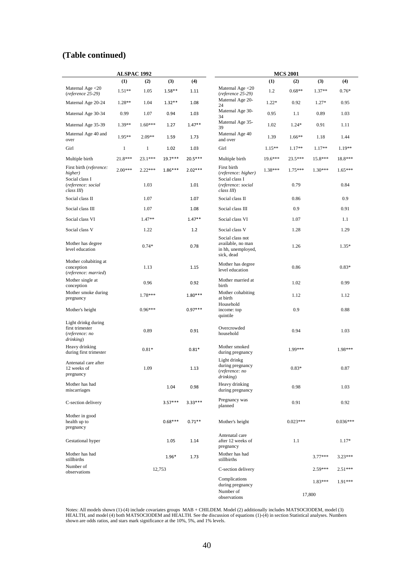|                                                                       | <b>ALSPAC 1992</b>    |           |           | <b>MCS 2001</b> |                                                                           |          |            |                     |            |  |  |  |
|-----------------------------------------------------------------------|-----------------------|-----------|-----------|-----------------|---------------------------------------------------------------------------|----------|------------|---------------------|------------|--|--|--|
|                                                                       | (1)                   | (2)       | (3)       | (4)             |                                                                           | (1)      | (2)        | (3)                 | (4)        |  |  |  |
| Maternal Age $<$ 20<br>$(reference\ 25-29)$                           | $1.51**$              | 1.05      | $1.58**$  | 1.11            | Maternal Age $<$ 20<br>$(reference\ 25-29)$                               | 1.2      | $0.68**$   | 1.37**              | $0.76*$    |  |  |  |
| Maternal Age 20-24                                                    | $1.28**$              | 1.04      | $1.32**$  | 1.08            | Maternal Age 20-<br>24                                                    | $1.22*$  | 0.92       | $1.27*$             | 0.95       |  |  |  |
| Maternal Age 30-34                                                    | 0.99<br>1.07          |           | 0.94      | 1.03            | Maternal Age 30-<br>34                                                    | 0.95     | 1.1        | 0.89                | 1.03       |  |  |  |
| Maternal Age 35-39                                                    | $1.39**$<br>$1.60***$ |           | 1.27      | $1.47**$        | Maternal Age 35-<br>39                                                    | 1.02     | $1.24*$    | 0.91                | 1.11       |  |  |  |
| Maternal Age 40 and<br>over                                           | $1.95**$<br>$2.09**$  |           | 1.59      | 1.73            | Maternal Age 40<br>and over                                               | 1.39     | $1.66**$   | 1.18                | 1.44       |  |  |  |
| Girl                                                                  | $\,1$<br>$\mathbf{1}$ |           | 1.02      | 1.03            | Girl                                                                      | $1.15**$ | $1.17**$   | 1.17**              | 1.19**     |  |  |  |
| Multiple birth                                                        | 23.1***<br>21.8***    |           | 19.7***   | $20.5***$       | Multiple birth                                                            | 19.6***  | 23.5***    | 15.8***             | 18.8***    |  |  |  |
| First birth (reference:<br>higher)                                    | $2.00***$             | $2.22***$ | $1.86***$ | $2.02***$       | First birth<br>(reference: higher)                                        | 1.38***  | $1.75***$  | $1.30***$           | $1.65***$  |  |  |  |
| Social class I<br>(reference: social<br>class III)                    |                       | 1.03      |           | 1.01            | Social class I<br>(reference: social<br>class III)                        |          | 0.79       |                     | 0.84       |  |  |  |
| Social class II                                                       |                       | 1.07      |           | 1.07            | Social class II                                                           |          | 0.86       |                     | 0.9        |  |  |  |
| Social class III                                                      |                       | 1.07      |           | 1.08            | Social class III                                                          |          | 0.9        |                     | 0.91       |  |  |  |
| Social class VI                                                       |                       | 1.47**    |           | $1.47**$        | Social class VI                                                           |          | 1.07       |                     | 1.1        |  |  |  |
| Social class V                                                        |                       | 1.22      |           | 1.2             | Social class V                                                            |          | 1.28       |                     | 1.29       |  |  |  |
| Mother has degree<br>level education                                  |                       | $0.74*$   |           | 0.78            | Social class not<br>available, no man<br>in hh, unemployed,<br>sick, dead |          | 1.26       |                     | $1.35*$    |  |  |  |
| Mother cohabiting at<br>conception<br>(reference: married)            |                       | 1.13      |           | 1.15            | Mother has degree<br>level education                                      |          | 0.86       |                     | $0.83*$    |  |  |  |
| Mother single at<br>conception                                        |                       | 0.96      |           | 0.92            | Mother married at<br>birth                                                |          | 1.02       |                     | 0.99       |  |  |  |
| Mother smoke during<br>pregnancy                                      |                       | 1.78***   |           | $1.80***$       | Mother cohabiting<br>at birth                                             |          | 1.12       |                     | 1.12       |  |  |  |
| Mother's height                                                       |                       | $0.96***$ |           | $0.97***$       | Household<br>income: top<br>quintile                                      |          | 0.9        |                     | 0.88       |  |  |  |
| Light drinkg during<br>first trimester<br>(reference: no<br>drinking) |                       | 0.89      |           | 0.91            | Overcrowded<br>household                                                  |          | 0.94       |                     | 1.03       |  |  |  |
| Heavy drinking<br>during first trimester                              |                       | $0.81*$   |           | $0.81*$         | Mother smoked<br>during pregnancy                                         |          | 1.99***    |                     | 1.98***    |  |  |  |
| Antenatal care after<br>12 weeks of<br>pregnancy                      |                       | 1.09      |           | 1.13            | Light drinkg<br>during pregnancy<br>(reference: no<br>drinking)           |          | $0.83*$    |                     | 0.87       |  |  |  |
| Mother has had<br>miscarriages                                        |                       |           | 1.04      | 0.98            | Heavy drinking<br>during pregnancy                                        |          | 0.98       |                     | 1.03       |  |  |  |
| C-section delivery                                                    |                       |           | $3.57***$ | $3.33***$       | Pregnancy was<br>planned                                                  |          | 0.91       |                     | 0.92       |  |  |  |
| Mother in good<br>health up to<br>pregnancy                           |                       |           | $0.68***$ | $0.71**$        | Mother's height                                                           |          | $0.023***$ |                     | $0.036***$ |  |  |  |
| Gestational hyper                                                     |                       |           | 1.05      | 1.14            | Antenatal care<br>after 12 weeks of<br>pregnancy                          |          | 1.1        |                     | $1.17*$    |  |  |  |
| Mother has had<br>stillbirths                                         |                       |           | $1.96*$   | 1.73            | Mother has had<br>stillbirths                                             |          |            | $3.77***$           | 3.23***    |  |  |  |
| Number of<br>observations                                             |                       |           | 12,753    |                 | C-section delivery                                                        |          |            | $2.59***$           | $2.51***$  |  |  |  |
|                                                                       |                       |           |           |                 | Complications<br>during pregnancy<br>Number of<br>observations            |          |            | $1.83***$<br>17,800 | 1.91***    |  |  |  |

Notes: All models shown (1)-(4) include covariates groups MAB + CHILDEM. Model (2) additionally includes MATSOCIODEM, model (3) HEALTH, and model (4) both MATSOCIODEM and HEALTH. See the discussion of equations (1)-(4) in sectio[n Statistical](#page-9-0) analyses. Numbers shown are odds ratios, and stars mark significance at the 10%, 5%, and 1% levels.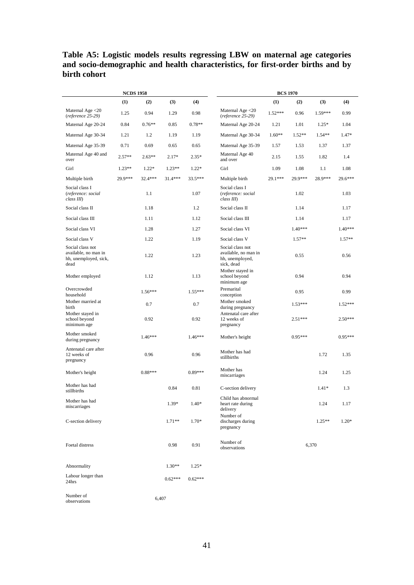#### <span id="page-41-0"></span>**Table A5: Logistic models results regressing LBW on maternal age categories and socio-demographic and health characteristics, for first-order births and by birth cohort**

|                                                                           | <b>NCDS 1958</b>     |           |           | <b>BCS 1970</b> |                                                                           |           |           |           |           |  |  |  |  |
|---------------------------------------------------------------------------|----------------------|-----------|-----------|-----------------|---------------------------------------------------------------------------|-----------|-----------|-----------|-----------|--|--|--|--|
|                                                                           | (1)                  | (2)       | (3)       | (4)             |                                                                           | (1)       | (2)       | (3)       | (4)       |  |  |  |  |
| Maternal Age <20<br>$(reference\ 25-29)$                                  | 1.25                 | 0.94      | 1.29      | 0.98            | Maternal Age $<$ 20<br>(reference 25-29)                                  | $1.52***$ | 0.96      | $1.59***$ | 0.99      |  |  |  |  |
| Maternal Age 20-24                                                        | 0.84                 | $0.76**$  | 0.85      | $0.78**$        | Maternal Age 20-24                                                        | 1.21      | 1.01      | $1.25*$   | 1.04      |  |  |  |  |
| Maternal Age 30-34                                                        | 1.21                 | 1.2       | 1.19      | 1.19            | Maternal Age 30-34                                                        | $1.60**$  | $1.52**$  | $1.54**$  | $1.47*$   |  |  |  |  |
| Maternal Age 35-39                                                        | 0.71                 | 0.69      | 0.65      | 0.65            | Maternal Age 35-39                                                        | 1.57      | 1.53      | 1.37      | 1.37      |  |  |  |  |
| Maternal Age 40 and<br>over                                               | $2.57**$<br>$2.63**$ |           | $2.17*$   | $2.35*$         | Maternal Age 40<br>and over                                               | 2.15      | 1.55      | 1.82      | 1.4       |  |  |  |  |
| Girl                                                                      | $1.23**$             | $1.22*$   | $1.23**$  | $1.22*$         | Girl                                                                      | 1.09      | 1.08      | 1.1       | 1.08      |  |  |  |  |
| Multiple birth                                                            | 29.9***              | 32.4 ***  | $31.4***$ | 33.5***         | Multiple birth                                                            | 29.1***   | 29.9***   | 28.9***   | 29.6***   |  |  |  |  |
| Social class I<br>(reference: social<br>class III)                        |                      | 1.1       |           | 1.07            | Social class I<br>(reference: social<br>class III)                        |           | 1.02      |           | 1.03      |  |  |  |  |
| Social class II                                                           |                      | 1.18      |           | 1.2             | Social class II                                                           |           | 1.14      |           | 1.17      |  |  |  |  |
| Social class III                                                          |                      | 1.11      |           | 1.12            | Social class III                                                          |           | 1.14      |           | 1.17      |  |  |  |  |
| Social class VI                                                           |                      | 1.28      |           | 1.27            | Social class VI                                                           |           | $1.40***$ |           | 1.40***   |  |  |  |  |
| Social class V                                                            |                      | 1.22      |           | 1.19            | Social class V                                                            |           | $1.57**$  |           | $1.57**$  |  |  |  |  |
| Social class not<br>available, no man in<br>hh, unemployed, sick,<br>dead |                      | 1.22      |           | 1.23            | Social class not<br>available, no man in<br>hh, unemployed,<br>sick, dead |           |           | 0.56      |           |  |  |  |  |
| Mother employed                                                           |                      | 1.12      |           | 1.13            | Mother stayed in<br>school beyond<br>minimum age                          |           | 0.94      |           | 0.94      |  |  |  |  |
| Overcrowded<br>household                                                  |                      | $1.56***$ |           | $1.55***$       | Premarital<br>conception                                                  |           | 0.95      |           | 0.99      |  |  |  |  |
| Mother married at<br>birth                                                |                      | 0.7       |           | 0.7             | Mother smoked<br>during pregnancy                                         | $1.53***$ |           |           |           |  |  |  |  |
| Mother stayed in<br>school beyond<br>minimum age                          | 0.92                 |           |           | 0.92            | Antenatal care after<br>12 weeks of<br>pregnancy                          | $2.51***$ |           |           | $2.50***$ |  |  |  |  |
| Mother smoked<br>during pregnancy                                         |                      | $1.46***$ |           | $1.46***$       | Mother's height                                                           |           | $0.95***$ |           | $0.95***$ |  |  |  |  |
| Antenatal care after<br>12 weeks of<br>pregnancy                          |                      | 0.96      |           | 0.96            | Mother has had<br>stillbirths                                             |           |           | 1.72      | 1.35      |  |  |  |  |
| Mother's height                                                           |                      | $0.88***$ |           | $0.89***$       | Mother has<br>miscarriages                                                |           |           | 1.24      | 1.25      |  |  |  |  |
| Mother has had<br>stillbirths                                             |                      |           | 0.84      | 0.81            | C-section delivery                                                        |           |           | $1.41*$   | 1.3       |  |  |  |  |
| Mother has had<br>miscarriages                                            |                      |           | $1.39*$   | $1.40*$         | Child has abnormal<br>heart rate during<br>delivery                       |           |           | 1.24      | 1.17      |  |  |  |  |
| C-section delivery                                                        |                      |           | $1.71**$  | $1.70*$         | Number of<br>discharges during<br>pregnancy                               |           |           | $1.25**$  | $1.20*$   |  |  |  |  |
| Foetal distress                                                           |                      |           | 0.98      | 0.91            | Number of<br>observations                                                 |           |           | 6,370     |           |  |  |  |  |
| Abnormality                                                               |                      |           | $1.30**$  | $1.25*$         |                                                                           |           |           |           |           |  |  |  |  |
| Labour longer than<br>24hrs                                               |                      |           | $0.62***$ | $0.62***$       |                                                                           |           |           |           |           |  |  |  |  |
| Number of<br>observations                                                 |                      |           | 6,407     |                 |                                                                           |           |           |           |           |  |  |  |  |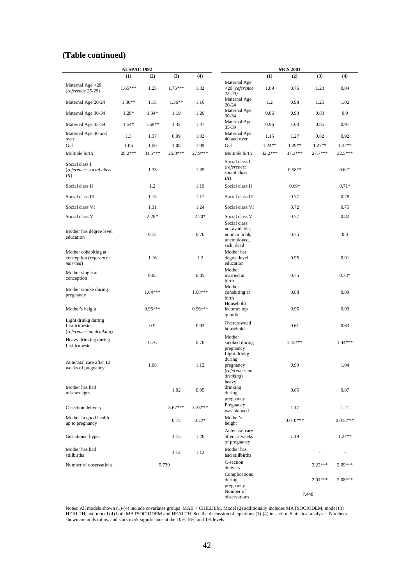|                                                                    | <b>ALSPAC 1992</b> |           |           |           | <b>MCS 2001</b>                                              |          |            |           |            |  |  |  |  |  |
|--------------------------------------------------------------------|--------------------|-----------|-----------|-----------|--------------------------------------------------------------|----------|------------|-----------|------------|--|--|--|--|--|
|                                                                    | (1)                | (2)       | (3)       | (4)       |                                                              | (1)      | (2)        | (3)       | (4)        |  |  |  |  |  |
| Maternal Age <20<br>(reference 25-29)                              | $1.65***$          | 1.25      | $1.75***$ | 1.32      | Maternal Age<br>$<$ 20 (reference<br>$25-29$                 | 1.09     | 0.76       | 1.23      | 0.84       |  |  |  |  |  |
| Maternal Age 20-24                                                 | $1.36**$           | 1.15      | $1.36**$  | 1.16      | Maternal Age<br>$20 - 24$                                    | 1.2      | 0.98       | 1.25      | 1.02       |  |  |  |  |  |
| Maternal Age 30-34                                                 | $1.28*$<br>$1.34*$ |           | 1.19      | 1.26      | Maternal Age<br>30-34                                        | 0.86     | 0.93       | 0.83      | 0.9        |  |  |  |  |  |
| Maternal Age 35-39                                                 | $1.54*$            | $1.68**$  |           | 1.47      | Maternal Age<br>35-39                                        | 0.96     | 1.03       | 0.85      | 0.91       |  |  |  |  |  |
| Maternal Age 40 and<br>over                                        | 1.3<br>1.37        |           | 0.99      | 1.02      | Maternal Age<br>40 and over                                  | 1.15     | 1.27       | 0.82      | 0.92       |  |  |  |  |  |
| Girl                                                               | 1.06<br>1.06       |           | 1.08      | 1.09      | Girl                                                         | $1.24**$ | $1.29**$   | $1.27**$  | $1.32**$   |  |  |  |  |  |
| Multiple birth                                                     | 28.2***            | $31.5***$ | 25.8***   | 27.9***   | Multiple birth                                               | 32.2***  | 37.3***    | 27.7***   | 32.5***    |  |  |  |  |  |
| Social class I<br>(reference: social class<br>III                  |                    | 1.33      |           | 1.35      | Social class I<br>(reference:<br>social class<br>III         |          | $0.58**$   |           | $0.62*$    |  |  |  |  |  |
| Social class II                                                    |                    | 1.2       |           | 1.19      | Social class II                                              |          | $0.69*$    |           | $0.71*$    |  |  |  |  |  |
| Social class III                                                   |                    | 1.15      |           | 1.17      | Social class III                                             |          | 0.77       |           | 0.78       |  |  |  |  |  |
| Social class VI                                                    |                    | 1.31      |           | 1.24      | Social class VI                                              |          | 0.72       |           | 0.75       |  |  |  |  |  |
| Social class V                                                     |                    | $2.28*$   |           | $2.20*$   | Social class V<br>Social class                               |          | 0.77       |           | 0.82       |  |  |  |  |  |
| Mother has degree level<br>education                               |                    | 0.72      |           | 0.76      | not available,<br>no man in hh,<br>unemployed,<br>sick, dead |          |            | 0.8       |            |  |  |  |  |  |
| Mother cohabiting at<br>conception (reference:<br>married)         |                    | 1.16      |           | 1.2       | Mother has<br>degree level<br>education<br>Mother            | 0.95     |            |           | 0.91       |  |  |  |  |  |
| Mother single at<br>conception                                     |                    | 0.85      |           | 0.85      | married at<br>birth                                          |          | 0.75       |           | $0.73*$    |  |  |  |  |  |
| Mother smoke during<br>pregnancy                                   |                    | $1.64***$ |           | $1.68***$ | Mother<br>cohabiting at<br>birth                             |          | 0.88       |           | 0.89       |  |  |  |  |  |
| Mother's height                                                    |                    | $0.95***$ |           | $0.96***$ | Household<br>income: top<br>quintile                         |          | 0.95       |           | 0.99       |  |  |  |  |  |
| Light drinkg during<br>first trimester<br>(reference: no drinking) |                    | 0.9       |           | 0.92      | Overcrowded<br>household                                     | 0.61     |            |           | 0.63       |  |  |  |  |  |
| Heavy drinking during<br>first trimester                           |                    | 0.76      |           | 0.76      | Mother<br>smoked during<br>pregnancy<br>Light drinkg         | 1.45***  |            |           | $1.44***$  |  |  |  |  |  |
| Antenatal care after 12<br>weeks of pregnancy                      |                    | 1.08      |           | 1.12      | during<br>pregnancy<br>(reference: no<br>drinking)           | 0.99     |            |           | 1.04       |  |  |  |  |  |
| Mother has had<br>miscarriages                                     |                    |           |           | 0.95      | heavy<br>drinking<br>during<br>pregnancy                     |          | 0.85       |           | 0.87       |  |  |  |  |  |
| C-section delivery                                                 |                    |           | $3.67***$ | 3.33***   | Pregnancy<br>was planned                                     |          | 1.17       |           | 1.21       |  |  |  |  |  |
| Mother in good health<br>up to pregnancy                           |                    |           | 0.73      | $0.72*$   | Mother's<br>height                                           |          | $0.010***$ |           | $0.015***$ |  |  |  |  |  |
| Gestational hyper                                                  |                    |           | 1.15      |           | Antenatal care<br>after 12 weeks<br>of pregnancy             |          | 1.19       |           | $1.27**$   |  |  |  |  |  |
| Mother has had<br>stillbirths                                      |                    |           | 1.12      | 1.12      | Mother has<br>had stillbirths                                |          |            |           | ÷,         |  |  |  |  |  |
| Number of observations                                             |                    |           | 5,739     |           | C-section<br>delivery                                        |          |            | $2.22***$ | 2.09***    |  |  |  |  |  |
|                                                                    |                    |           |           |           | Complications<br>during<br>pregnancy                         |          |            | $2.01***$ | $2.08***$  |  |  |  |  |  |
|                                                                    |                    |           |           |           | Number of<br>observations                                    |          |            | 7,448     |            |  |  |  |  |  |

Notes: All models shown (1)-(4) include covariates groups MAB + CHILDEM. Model (2) additionally includes MATSOCIODEM, model (3) HEALTH, and model (4) both MATSOCIODEM and HEALTH. See the discussion of equations (1)-(4) in section Statistical analyses. Numbers shown are odds ratios, and stars mark significance at the 10%, 5%, and 1% levels.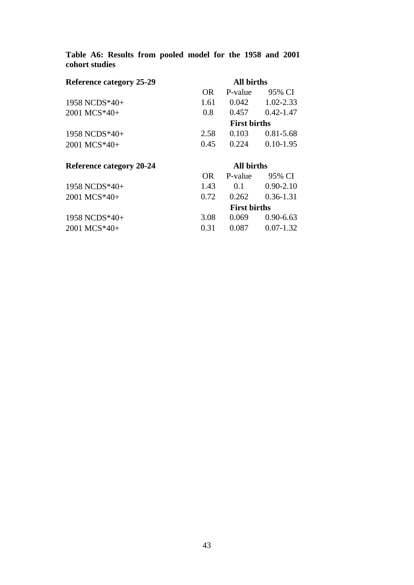### <span id="page-43-0"></span>**Table A6: Results from pooled model for the 1958 and 2001 cohort studies**

| <b>Reference category 25-29</b> | <b>All births</b> |                     |               |  |  |  |  |  |
|---------------------------------|-------------------|---------------------|---------------|--|--|--|--|--|
|                                 | OR.               | P-value             | 95% CI        |  |  |  |  |  |
| 1958 NCDS $*40+$                | 1.61              | 0.042               | 1.02-2.33     |  |  |  |  |  |
| 2001 MCS*40+                    | 0.8               | 0.457               | $0.42 - 1.47$ |  |  |  |  |  |
|                                 |                   | <b>First births</b> |               |  |  |  |  |  |
| 1958 NCDS*40+                   | 2.58              | 0.103               | $0.81 - 5.68$ |  |  |  |  |  |
| 2001 MCS*40+                    | 0.45              | 0.224               | $0.10 - 1.95$ |  |  |  |  |  |
| <b>Reference category 20-24</b> | <b>All births</b> |                     |               |  |  |  |  |  |
|                                 | OR.               | P-value             | 95% CI        |  |  |  |  |  |
| 1958 NCDS*40+                   | 1.43              | 0.1                 | $0.90 - 2.10$ |  |  |  |  |  |
| $2001$ MCS $*40+$               | 0.72              | 0.262               | $0.36 - 1.31$ |  |  |  |  |  |
|                                 |                   | <b>First births</b> |               |  |  |  |  |  |
| 1958 NCDS $*40+$                | 3.08              | 0.069               | $0.90 - 6.63$ |  |  |  |  |  |
| $2001$ MCS*40+                  | 0.31              | 0.087               | $0.07 - 1.32$ |  |  |  |  |  |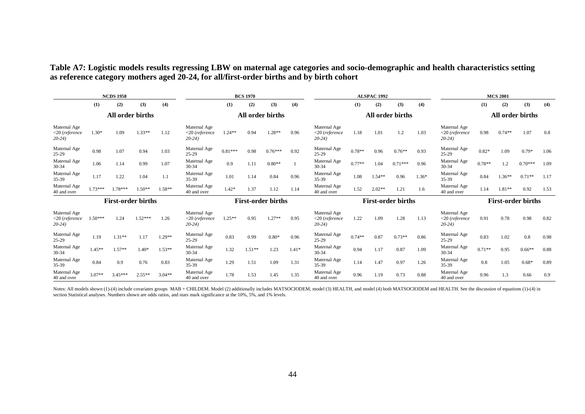**Table A7: Logistic models results regressing LBW on maternal age categories and socio-demographic and health characteristics setting as reference category mothers aged 20-24, for all/first-order births and by birth cohort**

| <b>NCDS 1958</b>                               |           |                           | <b>BCS 1970</b>  |          |                                                |           |                  | <b>ALSPAC 1992</b> |                           |                                                |          |                  | <b>MCS 2001</b> |                           |                                                |          |          |           |      |
|------------------------------------------------|-----------|---------------------------|------------------|----------|------------------------------------------------|-----------|------------------|--------------------|---------------------------|------------------------------------------------|----------|------------------|-----------------|---------------------------|------------------------------------------------|----------|----------|-----------|------|
|                                                | (1)       | (2)                       | (3)              | (4)      |                                                | (1)       | (2)              | (3)                | (4)                       |                                                | (1)      | (2)              | (3)             | (4)                       |                                                | (1)      | (2)      | (3)       | (4)  |
| All order births                               |           |                           | All order births |          |                                                |           | All order births |                    |                           |                                                |          | All order births |                 |                           |                                                |          |          |           |      |
| Maternal Age<br>$<$ 20 (reference<br>$20-24$ ) | $1.30*$   | 1.09                      | $1.33**$         | 1.12     | Maternal Age<br>$<20$ (reference<br>$20-24$    | $1.24**$  | 0.94             | $1.28**$           | 0.96                      | Maternal Age<br>$<$ 20 (reference<br>$20-24$   | 1.18     | 1.01             | 1.2             | 1.03                      | Maternal Age<br>$<$ 20 (reference<br>$20-24$   | 0.98     | $0.74**$ | 1.07      | 0.8  |
| Maternal Age<br>$25-29$                        | 0.98      | 1.07                      | 0.94             | 1.03     | Maternal Age<br>$25-29$                        | $0.81***$ | 0.98             | $0.76***$          | 0.92                      | Maternal Age<br>$25-29$                        | $0.78**$ | 0.96             | $0.76**$        | 0.93                      | Maternal Age<br>25-29                          | $0.82*$  | 1.09     | $0.79*$   | 1.06 |
| Maternal Age<br>$30 - 34$                      | 1.06      | 1.14                      | 0.99             | 1.07     | Maternal Age<br>30-34                          | 0.9       | 1.11             | $0.80**$           |                           | Maternal Age<br>$30 - 34$                      | $0.77**$ | 1.04             | $0.71***$       | 0.96                      | Maternal Age<br>$30 - 34$                      | $0.78**$ | 1.2      | $0.70***$ | 1.09 |
| Maternal Age<br>$35-39$                        | 1.17      | 1.22                      | 1.04             | 1.1      | Maternal Age<br>35-39                          | 1.01      | 1.14             | 0.84               | 0.96                      | Maternal Age<br>35-39                          | 1.08     | $1.54**$         | 0.96            | $1.36*$                   | Maternal Age<br>35-39                          | 0.84     | $1.36**$ | $0.71**$  | 1.17 |
| Maternal Age<br>40 and over                    | $1.73***$ | 1.78***                   | $1.50**$         | $1.58**$ | Maternal Age<br>40 and over                    | $1.42*$   | 1.37             | 1.12               | 1.14                      | Maternal Age<br>40 and over                    | 1.52     | $2.02**$         | 1.21            | 1.6                       | Maternal Age<br>40 and over                    | 1.14     | $1.81**$ | 0.92      | 1.53 |
|                                                |           | <b>First-order births</b> |                  |          | <b>First-order births</b>                      |           |                  |                    | <b>First-order births</b> |                                                |          |                  |                 | <b>First-order births</b> |                                                |          |          |           |      |
| Maternal Age<br>$<$ 20 (reference<br>$20-24$ ) | $1.50***$ | 1.24                      | $1.52***$        | 1.26     | Maternal Age<br>$<$ 20 (reference<br>$20-24$ ) | $1.25**$  | 0.95             | $1.27**$           | 0.95                      | Maternal Age<br>$<$ 20 (reference<br>$20-24$ ) | 1.22     | 1.09             | 1.28            | 1.13                      | Maternal Age<br>$<$ 20 (reference<br>$20-24$ ) | 0.91     | 0.78     | 0.98      | 0.82 |
| Maternal Age<br>25-29                          | 1.19      | $1.31**$                  | 1.17             | 1.29**   | Maternal Age<br>$25-29$                        | 0.83      | 0.99             | $0.80*$            | 0.96                      | Maternal Age<br>$25-29$                        | $0.74**$ | 0.87             | $0.73**$        | 0.86                      | Maternal Age<br>25-29                          | 0.83     | 1.02     | 0.8       | 0.98 |
| Maternal Age<br>$30 - 34$                      | $1.45**$  | $1.57**$                  | $1.40*$          | $1.53**$ | Maternal Age<br>30-34                          | 1.32      | $1.51**$         | 1.23               | $1.41*$                   | Maternal Age<br>$30-34$                        | 0.94     | 1.17             | 0.87            | 1.09                      | Maternal Age<br>$30 - 34$                      | $0.71**$ | 0.95     | $0.66**$  | 0.88 |
| Maternal Age<br>$35-39$                        | 0.84      | 0.9                       | 0.76             | 0.83     | Maternal Age<br>35-39                          | 1.29      | 1.51             | 1.09               | 1.31                      | Maternal Age<br>$35 - 39$                      | 1.14     | 1.47             | 0.97            | 1.26                      | Maternal Age<br>35-39                          | 0.8      | 1.05     | $0.68*$   | 0.89 |
| Maternal Age<br>40 and over                    | $3.07**$  | $3.45***$                 | $2.55**$         | $3.04**$ | Maternal Age<br>40 and over                    | 1.78      | 1.53             | 1.45               | 1.35                      | Maternal Age<br>40 and over                    | 0.96     | 1.19             | 0.73            | 0.88                      | Maternal Age<br>40 and over                    | 0.96     | 1.3      | 0.66      | 0.9  |

<span id="page-44-0"></span>Notes: All models shown (1)-(4) include covariates groups MAB + CHILDEM. Model (2) additionally includes MATSOCIODEM, model (3) HEALTH, and model (4) both MATSOCIODEM and HEALTH. See the discussion of equations (1)-(4) in section Statistical analyses. Numbers shown are odds ratios, and stars mark significance at the 10%, 5%, and 1% levels.